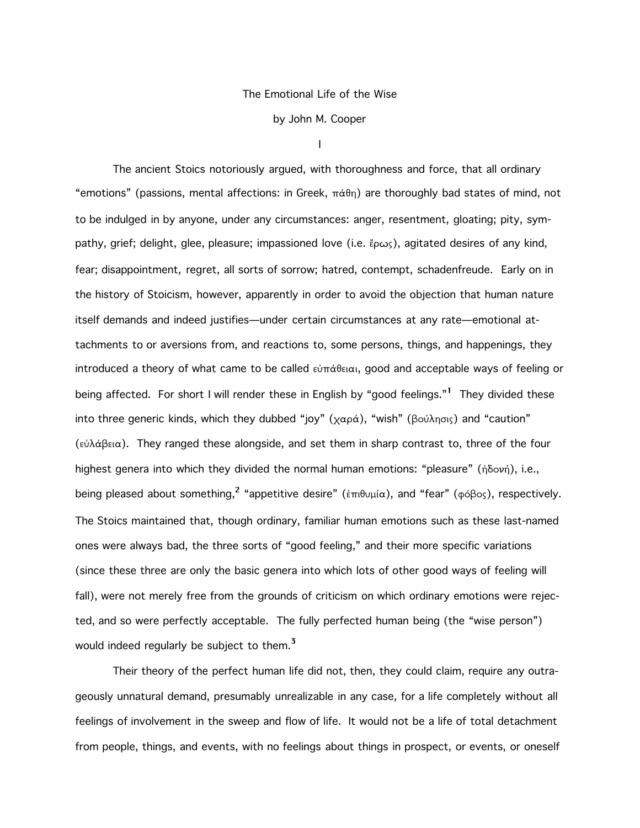## The Emotional Life of the Wise

by John M. Cooper

I

The ancient Stoics notoriously argued, with thoroughness and force, that all ordinary "emotions" (passions, mental affections: in Greek,  $\pi\acute{\alpha}\theta$ n) are thoroughly bad states of mind, not to be indulged in by anyone, under any circumstances: anger, resentment, gloating; pity, sympathy, grief; delight, glee, pleasure; impassioned love (i.e.  $\epsilon_{\text{p}\omega_{\text{S}}}$ ), agitated desires of any kind, fear; disappointment, regret, all sorts of sorrow; hatred, contempt, schadenfreude. Early on in the history of Stoicism, however, apparently in order to avoid the objection that human nature itself demands and indeed justifies—under certain circumstances at any rate—emotional attachments to or aversions from, and reactions to, some persons, things, and happenings, they introduced a theory of what came to be called  $\epsilon \dot{\nu} \pi \dot{\alpha} \theta \epsilon \dot{\alpha}$ , good and acceptable ways of feeling or being affected. For short I will render these in English by "good feelings."<sup>1</sup> They divided these into three generic kinds, which they dubbed "joy" ( $\chi \alpha \rho \dot{\alpha}$ ), "wish" (βούλησις) and "caution"  $(\epsilon \dot{\omega} \dot{\alpha})$  a They ranged these alongside, and set them in sharp contrast to, three of the four highest genera into which they divided the normal human emotions: "pleasure" (ήδονή), i.e., being pleased about something,<sup>2</sup> "appetitive desire" ( $\epsilon \pi \theta \nu \mu/\alpha$ ), and "fear" ( $\phi \phi \beta \circ \gamma$ ), respectively. The Stoics maintained that, though ordinary, familiar human emotions such as these last-named ones were always bad, the three sorts of "good feeling," and their more specific variations (since these three are only the basic genera into which lots of other good ways of feeling will fall), were not merely free from the grounds of criticism on which ordinary emotions were rejected, and so were perfectly acceptable. The fully perfected human being (the "wise person") would indeed regularly be subject to them.<sup>3</sup>

Their theory of the perfect human life did not, then, they could claim, require any outrageously unnatural demand, presumably unrealizable in any case, for a life completely without all feelings of involvement in the sweep and flow of life. It would not be a life of total detachment from people, things, and events, with no feelings about things in prospect, or events, or oneself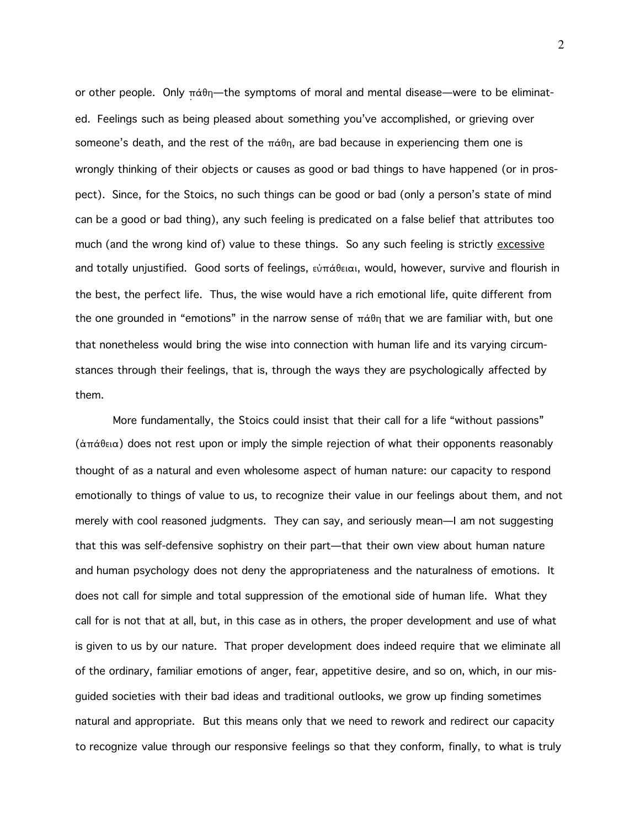or other people. Only  $\pi\acute{\alpha}\theta\eta$ —the symptoms of moral and mental disease—were to be eliminated. Feelings such as being pleased about something you've accomplished, or grieving over someone's death, and the rest of the  $\pi\acute{\alpha}\theta\eta$ , are bad because in experiencing them one is wrongly thinking of their objects or causes as good or bad things to have happened (or in prospect). Since, for the Stoics, no such things can be good or bad (only a person's state of mind can be a good or bad thing), any such feeling is predicated on a false belief that attributes too much (and the wrong kind of) value to these things. So any such feeling is strictly excessive and totally unjustified. Good sorts of feelings,  $\epsilon\dot{\phi}\pi\dot{\alpha}\theta\epsilon\alpha$ , would, however, survive and flourish in the best, the perfect life. Thus, the wise would have a rich emotional life, quite different from the one grounded in "emotions" in the narrow sense of  $\pi\dot{\alpha}\theta$  that we are familiar with, but one that nonetheless would bring the wise into connection with human life and its varying circumstances through their feelings, that is, through the ways they are psychologically affected by them.

More fundamentally, the Stoics could insist that their call for a life "without passions"  $(\dot{\alpha} \pi \dot{\alpha} \theta_{\alpha})$  does not rest upon or imply the simple rejection of what their opponents reasonably thought of as a natural and even wholesome aspect of human nature: our capacity to respond emotionally to things of value to us, to recognize their value in our feelings about them, and not merely with cool reasoned judgments. They can say, and seriously mean—I am not suggesting that this was self-defensive sophistry on their part—that their own view about human nature and human psychology does not deny the appropriateness and the naturalness of emotions. It does not call for simple and total suppression of the emotional side of human life. What they call for is not that at all, but, in this case as in others, the proper development and use of what is given to us by our nature. That proper development does indeed require that we eliminate all of the ordinary, familiar emotions of anger, fear, appetitive desire, and so on, which, in our misguided societies with their bad ideas and traditional outlooks, we grow up finding sometimes natural and appropriate. But this means only that we need to rework and redirect our capacity to recognize value through our responsive feelings so that they conform, finally, to what is truly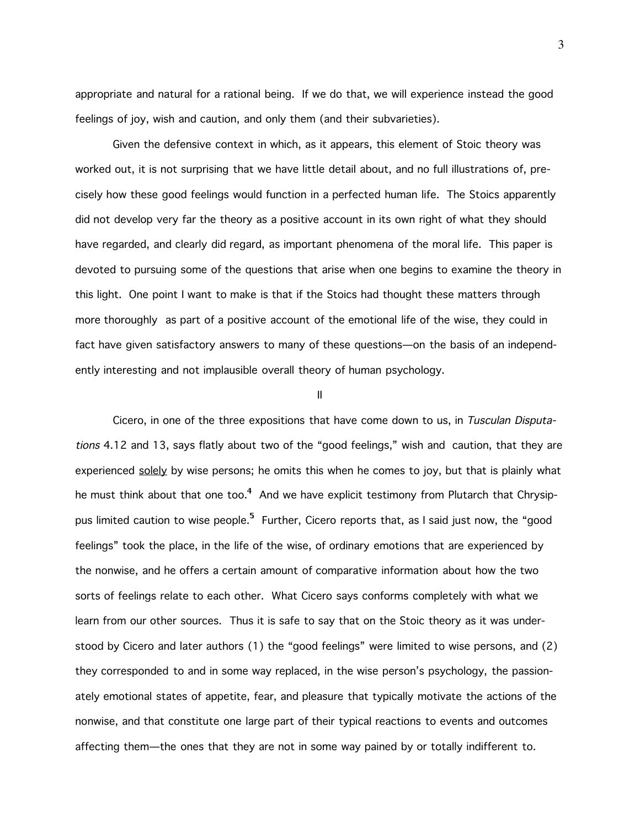appropriate and natural for a rational being. If we do that, we will experience instead the good feelings of joy, wish and caution, and only them (and their subvarieties).

Given the defensive context in which, as it appears, this element of Stoic theory was worked out, it is not surprising that we have little detail about, and no full illustrations of, precisely how these good feelings would function in a perfected human life. The Stoics apparently did not develop very far the theory as a positive account in its own right of what they should have regarded, and clearly did regard, as important phenomena of the moral life. This paper is devoted to pursuing some of the questions that arise when one begins to examine the theory in this light. One point I want to make is that if the Stoics had thought these matters through more thoroughly as part of a positive account of the emotional life of the wise, they could in fact have given satisfactory answers to many of these questions—on the basis of an independently interesting and not implausible overall theory of human psychology.

II

Cicero, in one of the three expositions that have come down to us, in Tusculan Disputations 4.12 and 13, says flatly about two of the "good feelings," wish and caution, that they are experienced solely by wise persons; he omits this when he comes to joy, but that is plainly what he must think about that one too.<sup>4</sup> And we have explicit testimony from Plutarch that Chrysippus limited caution to wise people.<sup>5</sup> Further, Cicero reports that, as I said just now, the "good feelings" took the place, in the life of the wise, of ordinary emotions that are experienced by the nonwise, and he offers a certain amount of comparative information about how the two sorts of feelings relate to each other. What Cicero says conforms completely with what we learn from our other sources. Thus it is safe to say that on the Stoic theory as it was understood by Cicero and later authors (1) the "good feelings" were limited to wise persons, and (2) they corresponded to and in some way replaced, in the wise person's psychology, the passionately emotional states of appetite, fear, and pleasure that typically motivate the actions of the nonwise, and that constitute one large part of their typical reactions to events and outcomes affecting them—the ones that they are not in some way pained by or totally indifferent to.

3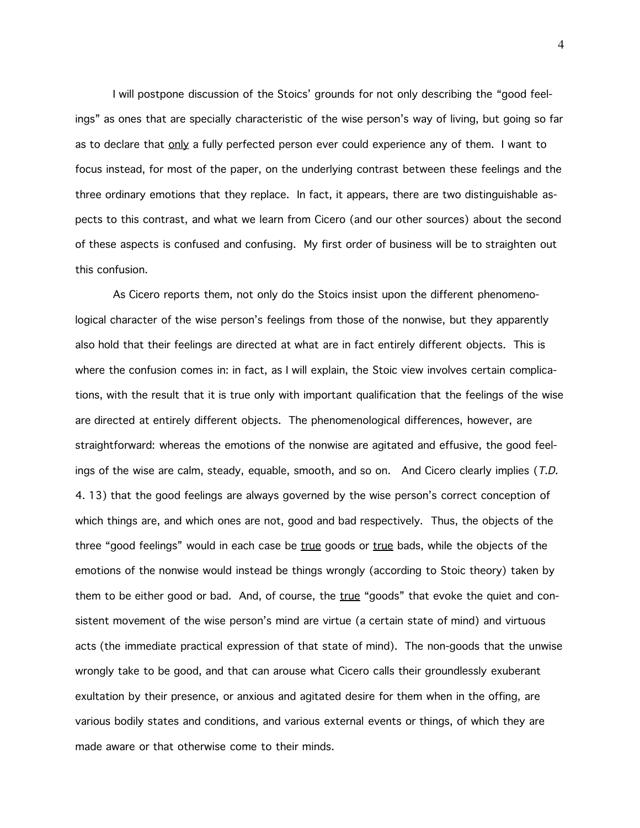I will postpone discussion of the Stoics' grounds for not only describing the "good feelings" as ones that are specially characteristic of the wise person's way of living, but going so far as to declare that  $only$  a fully perfected person ever could experience any of them. I want to focus instead, for most of the paper, on the underlying contrast between these feelings and the three ordinary emotions that they replace. In fact, it appears, there are two distinguishable aspects to this contrast, and what we learn from Cicero (and our other sources) about the second of these aspects is confused and confusing. My first order of business will be to straighten out this confusion.

As Cicero reports them, not only do the Stoics insist upon the different phenomenological character of the wise person's feelings from those of the nonwise, but they apparently also hold that their feelings are directed at what are in fact entirely different objects. This is where the confusion comes in: in fact, as I will explain, the Stoic view involves certain complications, with the result that it is true only with important qualification that the feelings of the wise are directed at entirely different objects. The phenomenological differences, however, are straightforward: whereas the emotions of the nonwise are agitated and effusive, the good feelings of the wise are calm, steady, equable, smooth, and so on. And Cicero clearly implies (T.D. 4. 13) that the good feelings are always governed by the wise person's correct conception of which things are, and which ones are not, good and bad respectively. Thus, the objects of the three "good feelings" would in each case be true goods or true bads, while the objects of the emotions of the nonwise would instead be things wrongly (according to Stoic theory) taken by them to be either good or bad. And, of course, the true "goods" that evoke the quiet and consistent movement of the wise person's mind are virtue (a certain state of mind) and virtuous acts (the immediate practical expression of that state of mind). The non-goods that the unwise wrongly take to be good, and that can arouse what Cicero calls their groundlessly exuberant exultation by their presence, or anxious and agitated desire for them when in the offing, are various bodily states and conditions, and various external events or things, of which they are made aware or that otherwise come to their minds.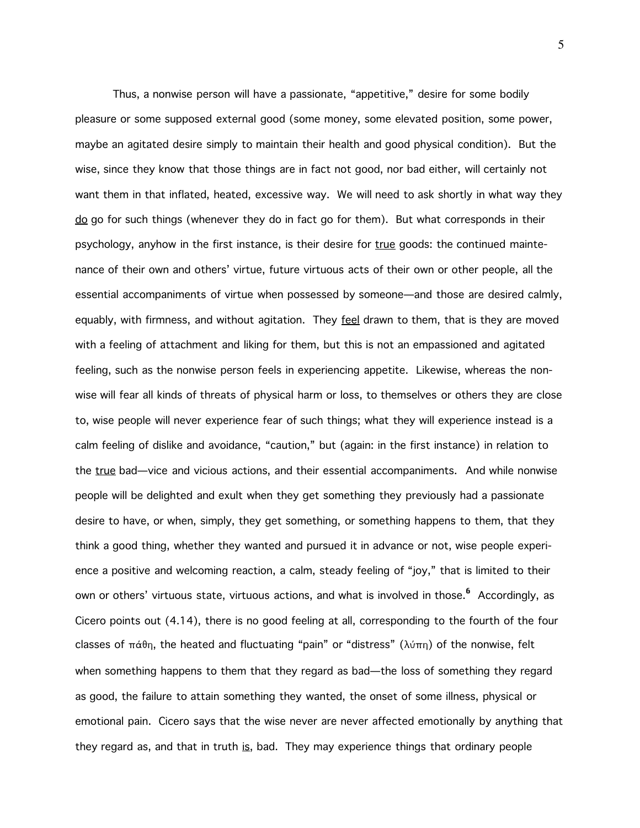Thus, a nonwise person will have a passionate, "appetitive," desire for some bodily pleasure or some supposed external good (some money, some elevated position, some power, maybe an agitated desire simply to maintain their health and good physical condition). But the wise, since they know that those things are in fact not good, nor bad either, will certainly not want them in that inflated, heated, excessive way. We will need to ask shortly in what way they do go for such things (whenever they do in fact go for them). But what corresponds in their psychology, anyhow in the first instance, is their desire for true goods: the continued maintenance of their own and others' virtue, future virtuous acts of their own or other people, all the essential accompaniments of virtue when possessed by someone—and those are desired calmly, equably, with firmness, and without agitation. They feel drawn to them, that is they are moved with a feeling of attachment and liking for them, but this is not an empassioned and agitated feeling, such as the nonwise person feels in experiencing appetite. Likewise, whereas the nonwise will fear all kinds of threats of physical harm or loss, to themselves or others they are close to, wise people will never experience fear of such things; what they will experience instead is a calm feeling of dislike and avoidance, "caution," but (again: in the first instance) in relation to the true bad—vice and vicious actions, and their essential accompaniments. And while nonwise people will be delighted and exult when they get something they previously had a passionate desire to have, or when, simply, they get something, or something happens to them, that they think a good thing, whether they wanted and pursued it in advance or not, wise people experience a positive and welcoming reaction, a calm, steady feeling of "joy," that is limited to their own or others' virtuous state, virtuous actions, and what is involved in those.<sup>6</sup> Accordingly, as Cicero points out (4.14), there is no good feeling at all, corresponding to the fourth of the four classes of  $\pi\dot{\alpha} \theta$ , the heated and fluctuating "pain" or "distress" ( $\lambda \dot{\alpha} \pi$ ) of the nonwise, felt when something happens to them that they regard as bad—the loss of something they regard as good, the failure to attain something they wanted, the onset of some illness, physical or emotional pain. Cicero says that the wise never are never affected emotionally by anything that they regard as, and that in truth is, bad. They may experience things that ordinary people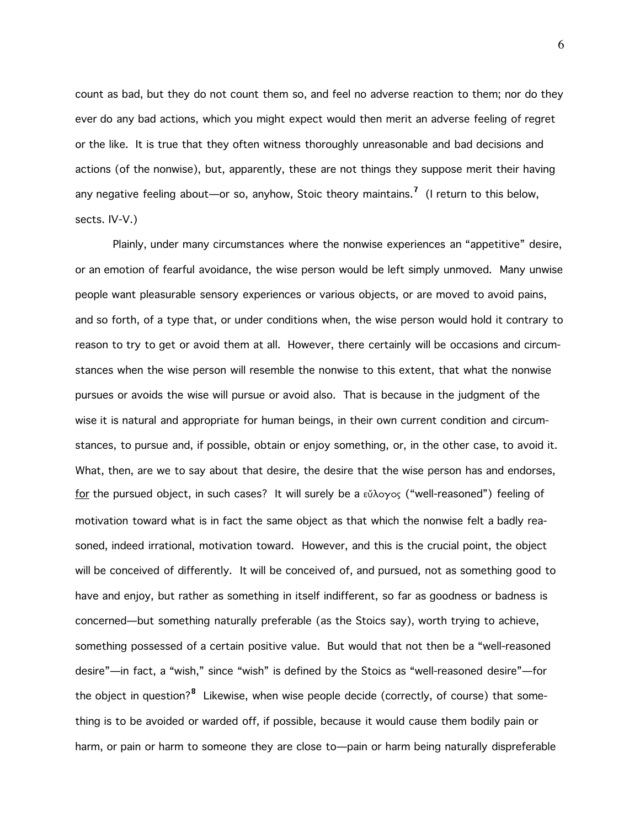count as bad, but they do not count them so, and feel no adverse reaction to them; nor do they ever do any bad actions, which you might expect would then merit an adverse feeling of regret or the like. It is true that they often witness thoroughly unreasonable and bad decisions and actions (of the nonwise), but, apparently, these are not things they suppose merit their having any negative feeling about—or so, anyhow, Stoic theory maintains.<sup>7</sup> (I return to this below, sects. IV-V.)

Plainly, under many circumstances where the nonwise experiences an "appetitive" desire, or an emotion of fearful avoidance, the wise person would be left simply unmoved. Many unwise people want pleasurable sensory experiences or various objects, or are moved to avoid pains, and so forth, of a type that, or under conditions when, the wise person would hold it contrary to reason to try to get or avoid them at all. However, there certainly will be occasions and circumstances when the wise person will resemble the nonwise to this extent, that what the nonwise pursues or avoids the wise will pursue or avoid also. That is because in the judgment of the wise it is natural and appropriate for human beings, in their own current condition and circumstances, to pursue and, if possible, obtain or enjoy something, or, in the other case, to avoid it. What, then, are we to say about that desire, the desire that the wise person has and endorses, for the pursued object, in such cases? It will surely be a  $\epsilon\tilde{\mu}$  oyos ("well-reasoned") feeling of motivation toward what is in fact the same object as that which the nonwise felt a badly reasoned, indeed irrational, motivation toward. However, and this is the crucial point, the object will be conceived of differently. It will be conceived of, and pursued, not as something good to have and enjoy, but rather as something in itself indifferent, so far as goodness or badness is concerned—but something naturally preferable (as the Stoics say), worth trying to achieve, something possessed of a certain positive value. But would that not then be a "well-reasoned desire"—in fact, a "wish," since "wish" is defined by the Stoics as "well-reasoned desire"—for the obiect in question?<sup>8</sup> Likewise, when wise people decide (correctly, of course) that something is to be avoided or warded off, if possible, because it would cause them bodily pain or harm, or pain or harm to someone they are close to—pain or harm being naturally dispreferable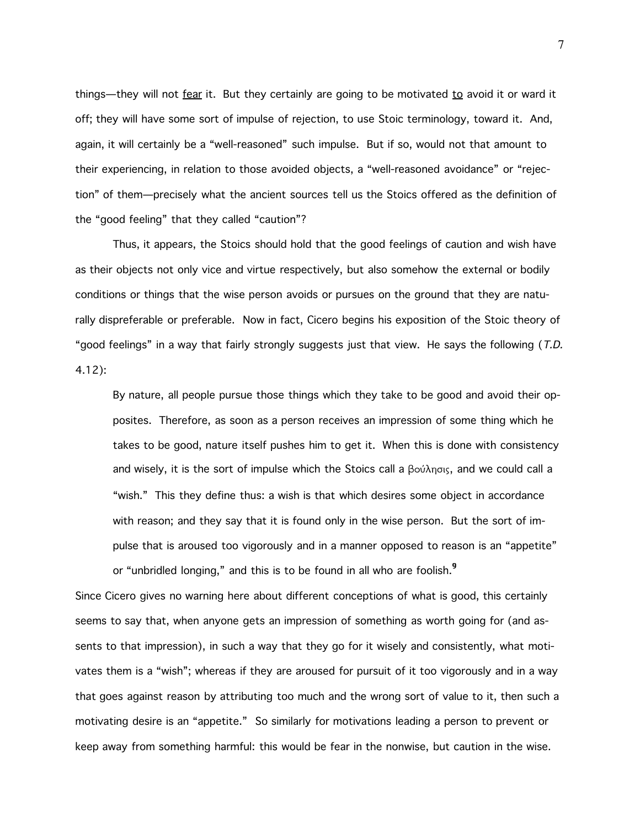things—they will not fear it. But they certainly are going to be motivated to avoid it or ward it off; they will have some sort of impulse of rejection, to use Stoic terminology, toward it. And, again, it will certainly be a "well-reasoned" such impulse. But if so, would not that amount to their experiencing, in relation to those avoided objects, a "well-reasoned avoidance" or "rejection" of them—precisely what the ancient sources tell us the Stoics offered as the definition of the "good feeling" that they called "caution"?

Thus, it appears, the Stoics should hold that the good feelings of caution and wish have as their objects not only vice and virtue respectively, but also somehow the external or bodily conditions or things that the wise person avoids or pursues on the ground that they are naturally dispreferable or preferable. Now in fact, Cicero begins his exposition of the Stoic theory of "good feelings" in a way that fairly strongly suggests just that view. He says the following (T.D. 4.12):

By nature, all people pursue those things which they take to be good and avoid their opposites. Therefore, as soon as a person receives an impression of some thing which he takes to be good, nature itself pushes him to get it. When this is done with consistency and wisely, it is the sort of impulse which the Stoics call a  $\beta o \omega \lambda_{\text{max}}$ , and we could call a "wish." This they define thus: a wish is that which desires some object in accordance with reason; and they say that it is found only in the wise person. But the sort of impulse that is aroused too vigorously and in a manner opposed to reason is an "appetite" or "unbridled longing," and this is to be found in all who are foolish.<sup>9</sup>

Since Cicero gives no warning here about different conceptions of what is good, this certainly seems to say that, when anyone gets an impression of something as worth going for (and assents to that impression), in such a way that they go for it wisely and consistently, what motivates them is a "wish"; whereas if they are aroused for pursuit of it too vigorously and in a way that goes against reason by attributing too much and the wrong sort of value to it, then such a motivating desire is an "appetite." So similarly for motivations leading a person to prevent or keep away from something harmful: this would be fear in the nonwise, but caution in the wise.

7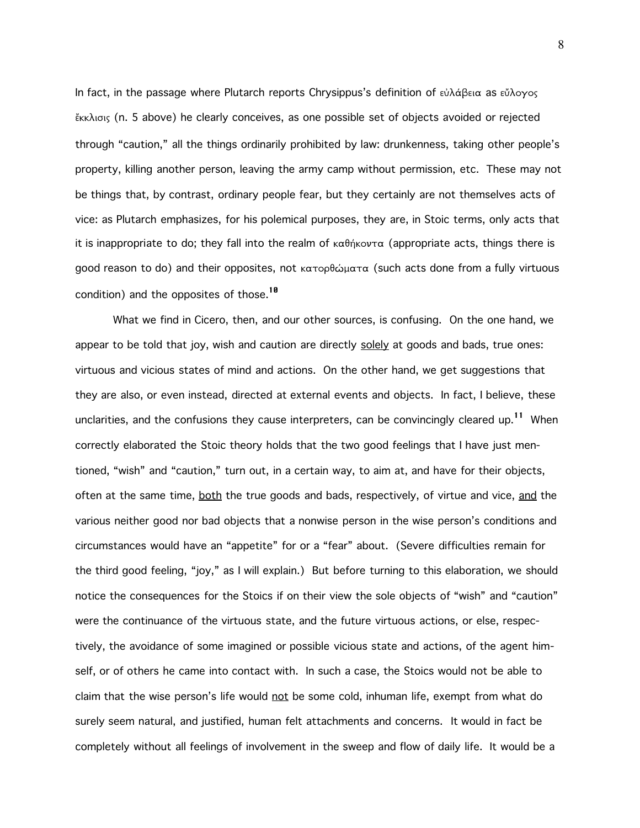In fact, in the passage where Plutarch reports Chrysippus's definition of  $\epsilon \dot{\nu} \lambda \dot{\alpha} \beta \epsilon \alpha$  as  $\epsilon \ddot{\nu} \lambda \alpha \gamma \alpha \varsigma$ ¶kklisiw (n. 5 above) he clearly conceives, as one possible set of objects avoided or rejected through "caution," all the things ordinarily prohibited by law: drunkenness, taking other people's property, killing another person, leaving the army camp without permission, etc. These may not be things that, by contrast, ordinary people fear, but they certainly are not themselves acts of vice: as Plutarch emphasizes, for his polemical purposes, they are, in Stoic terms, only acts that it is inappropriate to do; they fall into the realm of  $\kappa \alpha \theta \eta \kappa \omega \tau \alpha$  (appropriate acts, things there is good reason to do) and their opposites, not κατορθώματα (such acts done from a fully virtuous condition) and the opposites of those.<sup>10</sup>

What we find in Cicero, then, and our other sources, is confusing. On the one hand, we appear to be told that joy, wish and caution are directly solely at goods and bads, true ones: virtuous and vicious states of mind and actions. On the other hand, we get suggestions that they are also, or even instead, directed at external events and objects. In fact, I believe, these unclarities, and the confusions they cause interpreters, can be convincingly cleared up.<sup>11</sup> When correctly elaborated the Stoic theory holds that the two good feelings that I have just mentioned, "wish" and "caution," turn out, in a certain way, to aim at, and have for their objects, often at the same time, both the true goods and bads, respectively, of virtue and vice, and the various neither good nor bad objects that a nonwise person in the wise person's conditions and circumstances would have an "appetite" for or a "fear" about. (Severe difficulties remain for the third good feeling, "joy," as I will explain.) But before turning to this elaboration, we should notice the consequences for the Stoics if on their view the sole objects of "wish" and "caution" were the continuance of the virtuous state, and the future virtuous actions, or else, respectively, the avoidance of some imagined or possible vicious state and actions, of the agent himself, or of others he came into contact with. In such a case, the Stoics would not be able to claim that the wise person's life would not be some cold, inhuman life, exempt from what do surely seem natural, and justified, human felt attachments and concerns. It would in fact be completely without all feelings of involvement in the sweep and flow of daily life. It would be a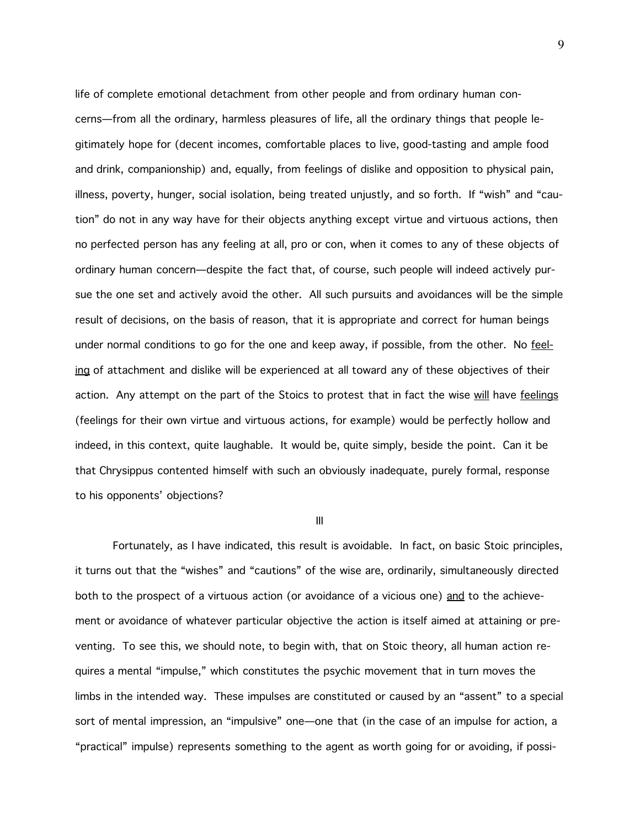life of complete emotional detachment from other people and from ordinary human concerns—from all the ordinary, harmless pleasures of life, all the ordinary things that people legitimately hope for (decent incomes, comfortable places to live, good-tasting and ample food and drink, companionship) and, equally, from feelings of dislike and opposition to physical pain, illness, poverty, hunger, social isolation, being treated unjustly, and so forth. If "wish" and "caution" do not in any way have for their objects anything except virtue and virtuous actions, then no perfected person has any feeling at all, pro or con, when it comes to any of these objects of ordinary human concern—despite the fact that, of course, such people will indeed actively pursue the one set and actively avoid the other. All such pursuits and avoidances will be the simple result of decisions, on the basis of reason, that it is appropriate and correct for human beings under normal conditions to go for the one and keep away, if possible, from the other. No feeling of attachment and dislike will be experienced at all toward any of these objectives of their action. Any attempt on the part of the Stoics to protest that in fact the wise will have feelings (feelings for their own virtue and virtuous actions, for example) would be perfectly hollow and indeed, in this context, quite laughable. It would be, quite simply, beside the point. Can it be that Chrysippus contented himself with such an obviously inadequate, purely formal, response to his opponents' objections?

III

Fortunately, as I have indicated, this result is avoidable. In fact, on basic Stoic principles, it turns out that the "wishes" and "cautions" of the wise are, ordinarily, simultaneously directed both to the prospect of a virtuous action (or avoidance of a vicious one) and to the achievement or avoidance of whatever particular objective the action is itself aimed at attaining or preventing. To see this, we should note, to begin with, that on Stoic theory, all human action requires a mental "impulse," which constitutes the psychic movement that in turn moves the limbs in the intended way. These impulses are constituted or caused by an "assent" to a special sort of mental impression, an "impulsive" one—one that (in the case of an impulse for action, a "practical" impulse) represents something to the agent as worth going for or avoiding, if possi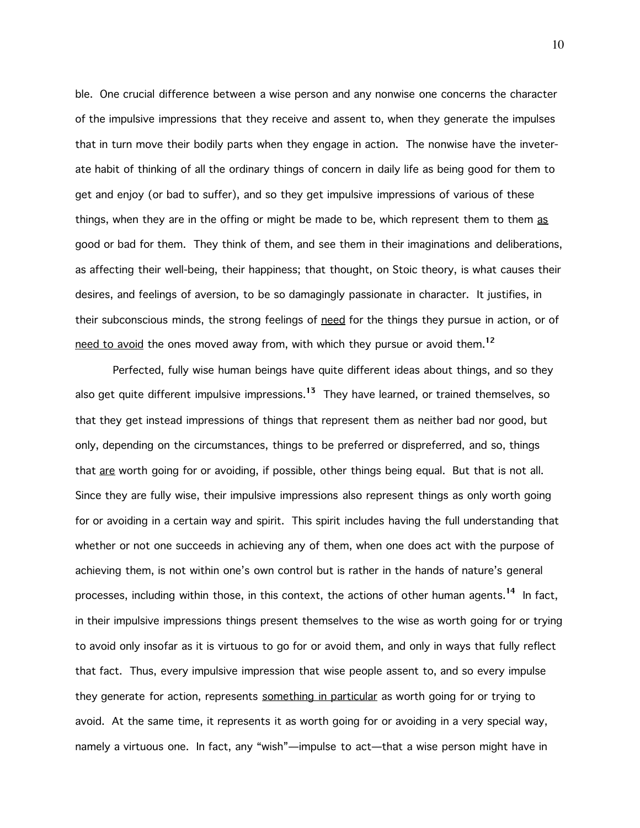ble. One crucial difference between a wise person and any nonwise one concerns the character of the impulsive impressions that they receive and assent to, when they generate the impulses that in turn move their bodily parts when they engage in action. The nonwise have the inveterate habit of thinking of all the ordinary things of concern in daily life as being good for them to get and enjoy (or bad to suffer), and so they get impulsive impressions of various of these things, when they are in the offing or might be made to be, which represent them to them as good or bad for them. They think of them, and see them in their imaginations and deliberations, as affecting their well-being, their happiness; that thought, on Stoic theory, is what causes their desires, and feelings of aversion, to be so damagingly passionate in character. It justifies, in their subconscious minds, the strong feelings of need for the things they pursue in action, or of need to avoid the ones moved away from, with which they pursue or avoid them.<sup>12</sup>

Perfected, fully wise human beings have quite different ideas about things, and so they also get quite different impulsive impressions.<sup>13</sup> They have learned, or trained themselves, so that they get instead impressions of things that represent them as neither bad nor good, but only, depending on the circumstances, things to be preferred or dispreferred, and so, things that are worth going for or avoiding, if possible, other things being equal. But that is not all. Since they are fully wise, their impulsive impressions also represent things as only worth going for or avoiding in a certain way and spirit. This spirit includes having the full understanding that whether or not one succeeds in achieving any of them, when one does act with the purpose of achieving them, is not within one's own control but is rather in the hands of nature's general processes, including within those, in this context, the actions of other human agents.<sup>14</sup> In fact, in their impulsive impressions things present themselves to the wise as worth going for or trying to avoid only insofar as it is virtuous to go for or avoid them, and only in ways that fully reflect that fact. Thus, every impulsive impression that wise people assent to, and so every impulse they generate for action, represents something in particular as worth going for or trying to avoid. At the same time, it represents it as worth going for or avoiding in a very special way, namely a virtuous one. In fact, any "wish"—impulse to act—that a wise person might have in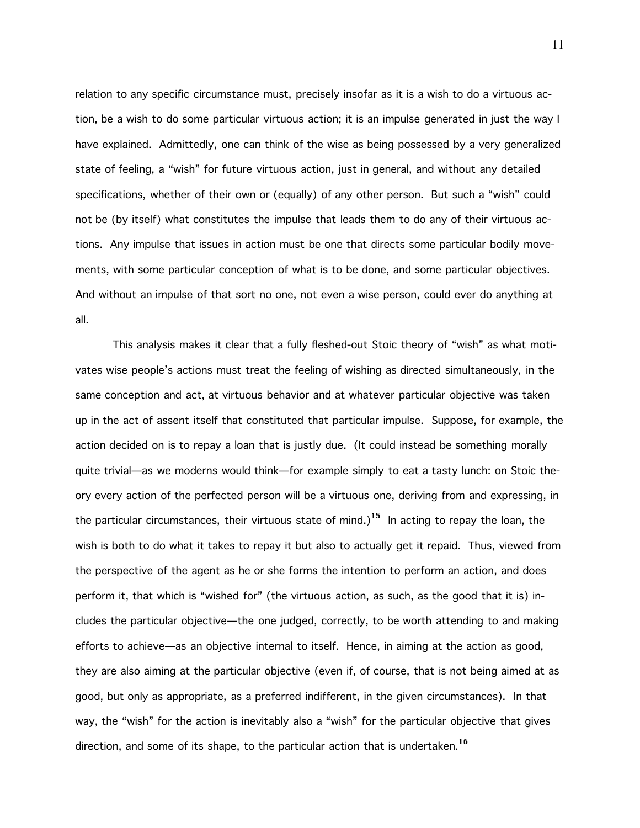relation to any specific circumstance must, precisely insofar as it is a wish to do a virtuous action, be a wish to do some particular virtuous action; it is an impulse generated in just the way I have explained. Admittedly, one can think of the wise as being possessed by a very generalized state of feeling, a "wish" for future virtuous action, just in general, and without any detailed specifications, whether of their own or (equally) of any other person. But such a "wish" could not be (by itself) what constitutes the impulse that leads them to do any of their virtuous actions. Any impulse that issues in action must be one that directs some particular bodily movements, with some particular conception of what is to be done, and some particular objectives. And without an impulse of that sort no one, not even a wise person, could ever do anything at all.

This analysis makes it clear that a fully fleshed-out Stoic theory of "wish" as what motivates wise people's actions must treat the feeling of wishing as directed simultaneously, in the same conception and act, at virtuous behavior and at whatever particular objective was taken up in the act of assent itself that constituted that particular impulse. Suppose, for example, the action decided on is to repay a loan that is justly due. (It could instead be something morally quite trivial—as we moderns would think—for example simply to eat a tasty lunch: on Stoic theory every action of the perfected person will be a virtuous one, deriving from and expressing, in the particular circumstances, their virtuous state of mind.)<sup>15</sup> In acting to repay the loan, the wish is both to do what it takes to repay it but also to actually get it repaid. Thus, viewed from the perspective of the agent as he or she forms the intention to perform an action, and does perform it, that which is "wished for" (the virtuous action, as such, as the good that it is) includes the particular objective—the one judged, correctly, to be worth attending to and making efforts to achieve—as an objective internal to itself. Hence, in aiming at the action as good, they are also aiming at the particular objective (even if, of course, that is not being aimed at as good, but only as appropriate, as a preferred indifferent, in the given circumstances). In that way, the "wish" for the action is inevitably also a "wish" for the particular objective that gives direction, and some of its shape, to the particular action that is undertaken.<sup>16</sup>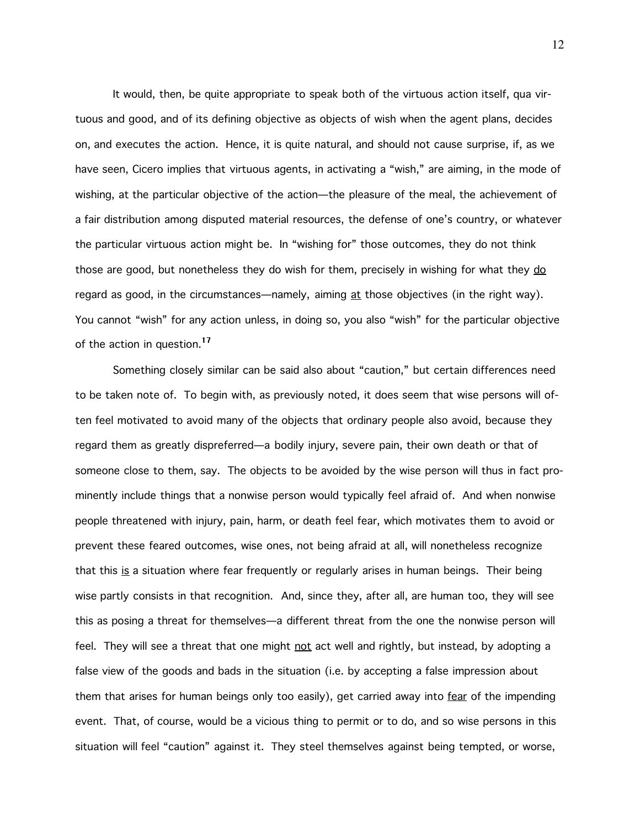It would, then, be quite appropriate to speak both of the virtuous action itself, qua virtuous and good, and of its defining objective as objects of wish when the agent plans, decides on, and executes the action. Hence, it is quite natural, and should not cause surprise, if, as we have seen, Cicero implies that virtuous agents, in activating a "wish," are aiming, in the mode of wishing, at the particular objective of the action—the pleasure of the meal, the achievement of a fair distribution among disputed material resources, the defense of one's country, or whatever the particular virtuous action might be. In "wishing for" those outcomes, they do not think those are good, but nonetheless they do wish for them, precisely in wishing for what they do regard as good, in the circumstances—namely, aiming at those objectives (in the right way). You cannot "wish" for any action unless, in doing so, you also "wish" for the particular objective of the action in question.<sup>17</sup>

Something closely similar can be said also about "caution," but certain differences need to be taken note of. To begin with, as previously noted, it does seem that wise persons will often feel motivated to avoid many of the objects that ordinary people also avoid, because they regard them as greatly dispreferred—a bodily injury, severe pain, their own death or that of someone close to them, say. The objects to be avoided by the wise person will thus in fact prominently include things that a nonwise person would typically feel afraid of. And when nonwise people threatened with injury, pain, harm, or death feel fear, which motivates them to avoid or prevent these feared outcomes, wise ones, not being afraid at all, will nonetheless recognize that this is a situation where fear frequently or regularly arises in human beings. Their being wise partly consists in that recognition. And, since they, after all, are human too, they will see this as posing a threat for themselves—a different threat from the one the nonwise person will feel. They will see a threat that one might not act well and rightly, but instead, by adopting a false view of the goods and bads in the situation (i.e. by accepting a false impression about them that arises for human beings only too easily), get carried away into fear of the impending event. That, of course, would be a vicious thing to permit or to do, and so wise persons in this situation will feel "caution" against it. They steel themselves against being tempted, or worse,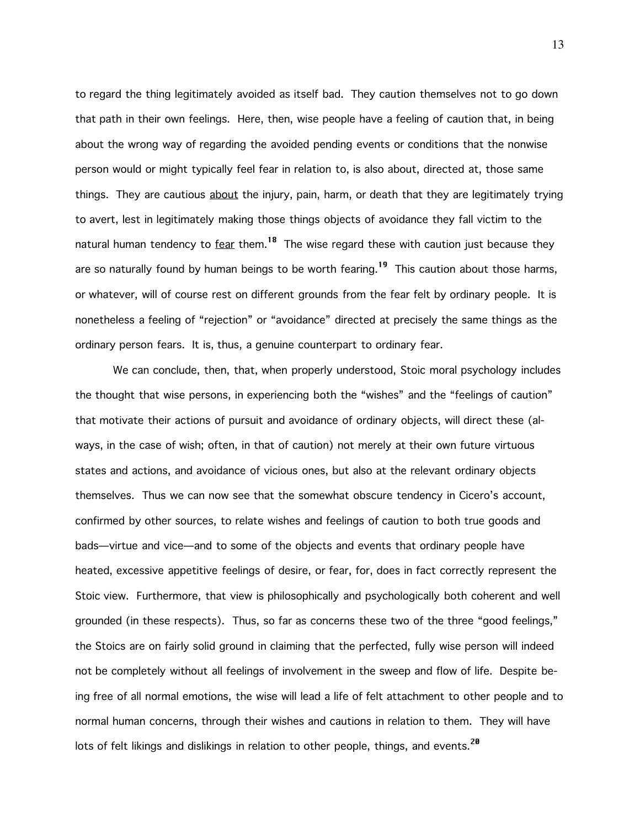to regard the thing legitimately avoided as itself bad. They caution themselves not to go down that path in their own feelings. Here, then, wise people have a feeling of caution that, in being about the wrong way of regarding the avoided pending events or conditions that the nonwise person would or might typically feel fear in relation to, is also about, directed at, those same things. They are cautious about the injury, pain, harm, or death that they are legitimately trying to avert, lest in legitimately making those things objects of avoidance they fall victim to the natural human tendency to  $fear$  them.<sup>18</sup> The wise regard these with caution just because they are so naturally found by human beings to be worth fearing.<sup>19</sup> This caution about those harms, or whatever, will of course rest on different grounds from the fear felt by ordinary people. It is nonetheless a feeling of "rejection" or "avoidance" directed at precisely the same things as the ordinary person fears. It is, thus, a genuine counterpart to ordinary fear.

We can conclude, then, that, when properly understood, Stoic moral psychology includes the thought that wise persons, in experiencing both the "wishes" and the "feelings of caution" that motivate their actions of pursuit and avoidance of ordinary objects, will direct these (always, in the case of wish; often, in that of caution) not merely at their own future virtuous states and actions, and avoidance of vicious ones, but also at the relevant ordinary objects themselves. Thus we can now see that the somewhat obscure tendency in Cicero's account, confirmed by other sources, to relate wishes and feelings of caution to both true goods and bads—virtue and vice—and to some of the objects and events that ordinary people have heated, excessive appetitive feelings of desire, or fear, for, does in fact correctly represent the Stoic view. Furthermore, that view is philosophically and psychologically both coherent and well grounded (in these respects). Thus, so far as concerns these two of the three "good feelings," the Stoics are on fairly solid ground in claiming that the perfected, fully wise person will indeed not be completely without all feelings of involvement in the sweep and flow of life. Despite being free of all normal emotions, the wise will lead a life of felt attachment to other people and to normal human concerns, through their wishes and cautions in relation to them. They will have lots of felt likings and dislikings in relation to other people, things, and events.<sup>20</sup>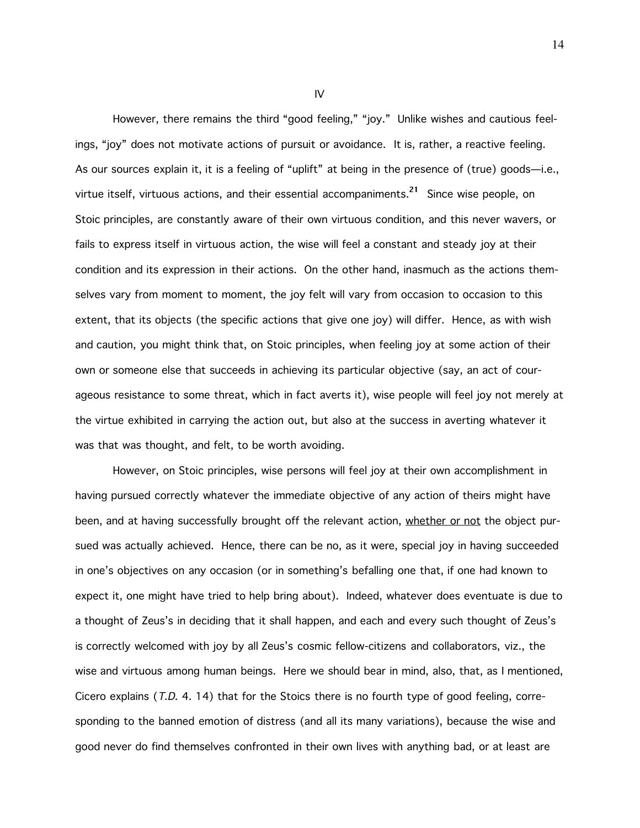However, there remains the third "good feeling," "joy." Unlike wishes and cautious feelings, "joy" does not motivate actions of pursuit or avoidance. It is, rather, a reactive feeling. As our sources explain it, it is a feeling of "uplift" at being in the presence of (true) goods—i.e., virtue itself, virtuous actions, and their essential accompaniments.<sup>21</sup> Since wise people, on Stoic principles, are constantly aware of their own virtuous condition, and this never wavers, or fails to express itself in virtuous action, the wise will feel a constant and steady joy at their condition and its expression in their actions. On the other hand, inasmuch as the actions themselves vary from moment to moment, the joy felt will vary from occasion to occasion to this extent, that its objects (the specific actions that give one joy) will differ. Hence, as with wish and caution, you might think that, on Stoic principles, when feeling joy at some action of their own or someone else that succeeds in achieving its particular objective (say, an act of courageous resistance to some threat, which in fact averts it), wise people will feel joy not merely at the virtue exhibited in carrying the action out, but also at the success in averting whatever it was that was thought, and felt, to be worth avoiding.

However, on Stoic principles, wise persons will feel joy at their own accomplishment in having pursued correctly whatever the immediate objective of any action of theirs might have been, and at having successfully brought off the relevant action, whether or not the object pursued was actually achieved. Hence, there can be no, as it were, special joy in having succeeded in one's objectives on any occasion (or in something's befalling one that, if one had known to expect it, one might have tried to help bring about). Indeed, whatever does eventuate is due to a thought of Zeus's in deciding that it shall happen, and each and every such thought of Zeus's is correctly welcomed with joy by all Zeus's cosmic fellow-citizens and collaborators, viz., the wise and virtuous among human beings. Here we should bear in mind, also, that, as I mentioned, Cicero explains (T.D. 4. 14) that for the Stoics there is no fourth type of good feeling, corresponding to the banned emotion of distress (and all its many variations), because the wise and good never do find themselves confronted in their own lives with anything bad, or at least are

IV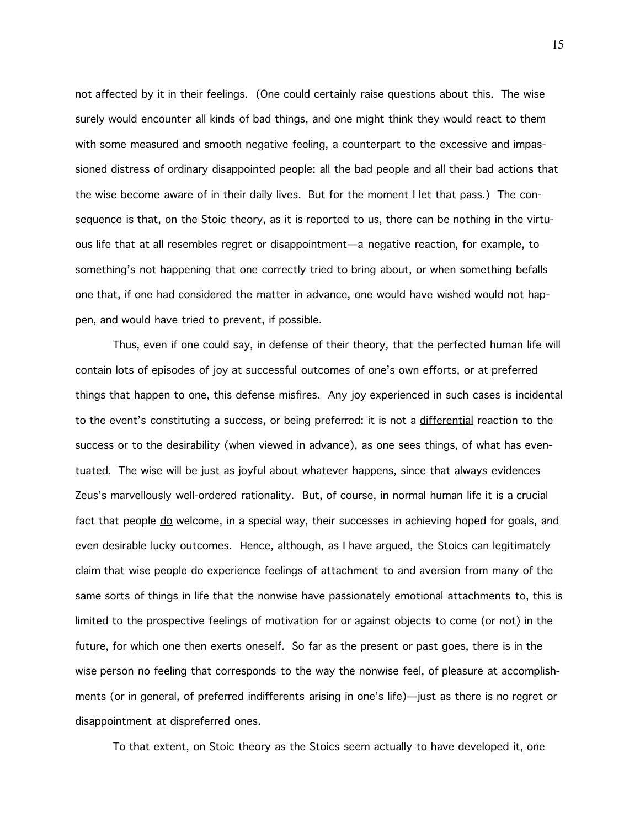not affected by it in their feelings. (One could certainly raise questions about this. The wise surely would encounter all kinds of bad things, and one might think they would react to them with some measured and smooth negative feeling, a counterpart to the excessive and impassioned distress of ordinary disappointed people: all the bad people and all their bad actions that the wise become aware of in their daily lives. But for the moment I let that pass.) The consequence is that, on the Stoic theory, as it is reported to us, there can be nothing in the virtuous life that at all resembles regret or disappointment—a negative reaction, for example, to something's not happening that one correctly tried to bring about, or when something befalls one that, if one had considered the matter in advance, one would have wished would not happen, and would have tried to prevent, if possible.

Thus, even if one could say, in defense of their theory, that the perfected human life will contain lots of episodes of joy at successful outcomes of one's own efforts, or at preferred things that happen to one, this defense misfires. Any joy experienced in such cases is incidental to the event's constituting a success, or being preferred: it is not a differential reaction to the success or to the desirability (when viewed in advance), as one sees things, of what has eventuated. The wise will be just as joyful about whatever happens, since that always evidences Zeus's marvellously well-ordered rationality. But, of course, in normal human life it is a crucial fact that people do welcome, in a special way, their successes in achieving hoped for goals, and even desirable lucky outcomes. Hence, although, as I have argued, the Stoics can legitimately claim that wise people do experience feelings of attachment to and aversion from many of the same sorts of things in life that the nonwise have passionately emotional attachments to, this is limited to the prospective feelings of motivation for or against objects to come (or not) in the future, for which one then exerts oneself. So far as the present or past goes, there is in the wise person no feeling that corresponds to the way the nonwise feel, of pleasure at accomplishments (or in general, of preferred indifferents arising in one's life)—just as there is no regret or disappointment at dispreferred ones.

To that extent, on Stoic theory as the Stoics seem actually to have developed it, one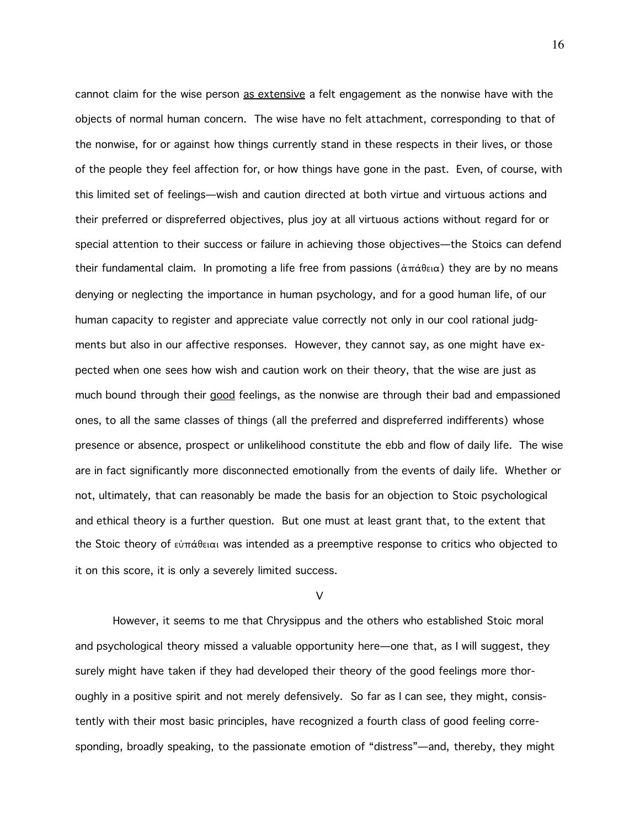cannot claim for the wise person as extensive a felt engagement as the nonwise have with the objects of normal human concern. The wise have no felt attachment, corresponding to that of the nonwise, for or against how things currently stand in these respects in their lives, or those of the people they feel affection for, or how things have gone in the past. Even, of course, with this limited set of feelings—wish and caution directed at both virtue and virtuous actions and their preferred or dispreferred objectives, plus joy at all virtuous actions without regard for or special attention to their success or failure in achieving those objectives—the Stoics can defend their fundamental claim. In promoting a life free from passions ( $\dot{\alpha}\pi\dot{\alpha}\theta\epsilon_i\alpha$ ) they are by no means denying or neglecting the importance in human psychology, and for a good human life, of our human capacity to register and appreciate value correctly not only in our cool rational judgments but also in our affective responses. However, they cannot say, as one might have expected when one sees how wish and caution work on their theory, that the wise are just as much bound through their good feelings, as the nonwise are through their bad and empassioned ones, to all the same classes of things (all the preferred and dispreferred indifferents) whose presence or absence, prospect or unlikelihood constitute the ebb and flow of daily life. The wise are in fact significantly more disconnected emotionally from the events of daily life. Whether or not, ultimately, that can reasonably be made the basis for an objection to Stoic psychological and ethical theory is a further question. But one must at least grant that, to the extent that the Stoic theory of  $\epsilon\dot{v}\pi\acute{\alpha}$ θειαι was intended as a preemptive response to critics who objected to it on this score, it is only a severely limited success.

## V

However, it seems to me that Chrysippus and the others who established Stoic moral and psychological theory missed a valuable opportunity here—one that, as I will suggest, they surely might have taken if they had developed their theory of the good feelings more thoroughly in a positive spirit and not merely defensively. So far as I can see, they might, consistently with their most basic principles, have recognized a fourth class of good feeling corresponding, broadly speaking, to the passionate emotion of "distress"—and, thereby, they might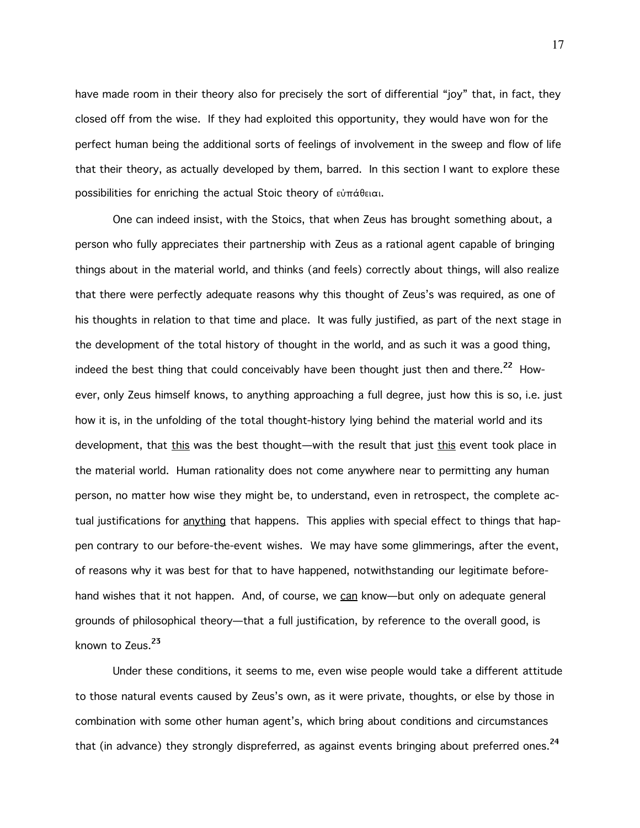have made room in their theory also for precisely the sort of differential "joy" that, in fact, they closed off from the wise. If they had exploited this opportunity, they would have won for the perfect human being the additional sorts of feelings of involvement in the sweep and flow of life that their theory, as actually developed by them, barred. In this section I want to explore these possibilities for enriching the actual Stoic theory of  $\epsilon \dot{\theta}$   $\pi \dot{\alpha} \theta \epsilon \alpha$ .

One can indeed insist, with the Stoics, that when Zeus has brought something about, a person who fully appreciates their partnership with Zeus as a rational agent capable of bringing things about in the material world, and thinks (and feels) correctly about things, will also realize that there were perfectly adequate reasons why this thought of Zeus's was required, as one of his thoughts in relation to that time and place. It was fully justified, as part of the next stage in the development of the total history of thought in the world, and as such it was a good thing, indeed the best thing that could conceivably have been thought just then and there.<sup>22</sup> However, only Zeus himself knows, to anything approaching a full degree, just how this is so, i.e. just how it is, in the unfolding of the total thought-history lying behind the material world and its development, that this was the best thought—with the result that just this event took place in the material world. Human rationality does not come anywhere near to permitting any human person, no matter how wise they might be, to understand, even in retrospect, the complete actual justifications for anything that happens. This applies with special effect to things that happen contrary to our before-the-event wishes. We may have some glimmerings, after the event, of reasons why it was best for that to have happened, notwithstanding our legitimate beforehand wishes that it not happen. And, of course, we can know—but only on adequate general grounds of philosophical theory—that a full justification, by reference to the overall good, is known to Zeus.<sup>23</sup>

Under these conditions, it seems to me, even wise people would take a different attitude to those natural events caused by Zeus's own, as it were private, thoughts, or else by those in combination with some other human agent's, which bring about conditions and circumstances that (in advance) they strongly dispreferred, as against events bringing about preferred ones.<sup>24</sup>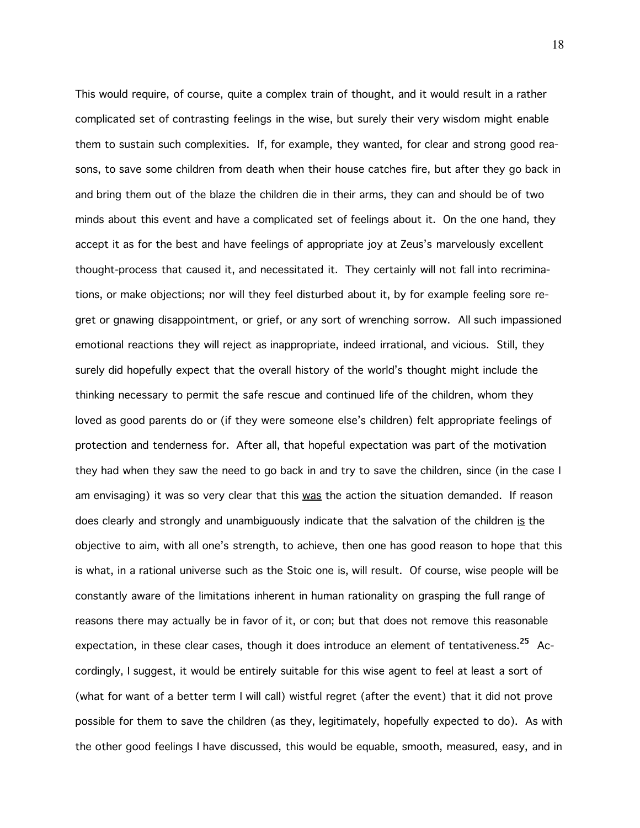This would require, of course, quite a complex train of thought, and it would result in a rather complicated set of contrasting feelings in the wise, but surely their very wisdom might enable them to sustain such complexities. If, for example, they wanted, for clear and strong good reasons, to save some children from death when their house catches fire, but after they go back in and bring them out of the blaze the children die in their arms, they can and should be of two minds about this event and have a complicated set of feelings about it. On the one hand, they accept it as for the best and have feelings of appropriate joy at Zeus's marvelously excellent thought-process that caused it, and necessitated it. They certainly will not fall into recriminations, or make objections; nor will they feel disturbed about it, by for example feeling sore regret or gnawing disappointment, or grief, or any sort of wrenching sorrow. All such impassioned emotional reactions they will reject as inappropriate, indeed irrational, and vicious. Still, they surely did hopefully expect that the overall history of the world's thought might include the thinking necessary to permit the safe rescue and continued life of the children, whom they loved as good parents do or (if they were someone else's children) felt appropriate feelings of protection and tenderness for. After all, that hopeful expectation was part of the motivation they had when they saw the need to go back in and try to save the children, since (in the case I am envisaging) it was so very clear that this was the action the situation demanded. If reason does clearly and strongly and unambiguously indicate that the salvation of the children is the objective to aim, with all one's strength, to achieve, then one has good reason to hope that this is what, in a rational universe such as the Stoic one is, will result. Of course, wise people will be constantly aware of the limitations inherent in human rationality on grasping the full range of reasons there may actually be in favor of it, or con; but that does not remove this reasonable expectation, in these clear cases, though it does introduce an element of tentativeness.<sup>25</sup> Accordingly, I suggest, it would be entirely suitable for this wise agent to feel at least a sort of (what for want of a better term I will call) wistful regret (after the event) that it did not prove possible for them to save the children (as they, legitimately, hopefully expected to do). As with the other good feelings I have discussed, this would be equable, smooth, measured, easy, and in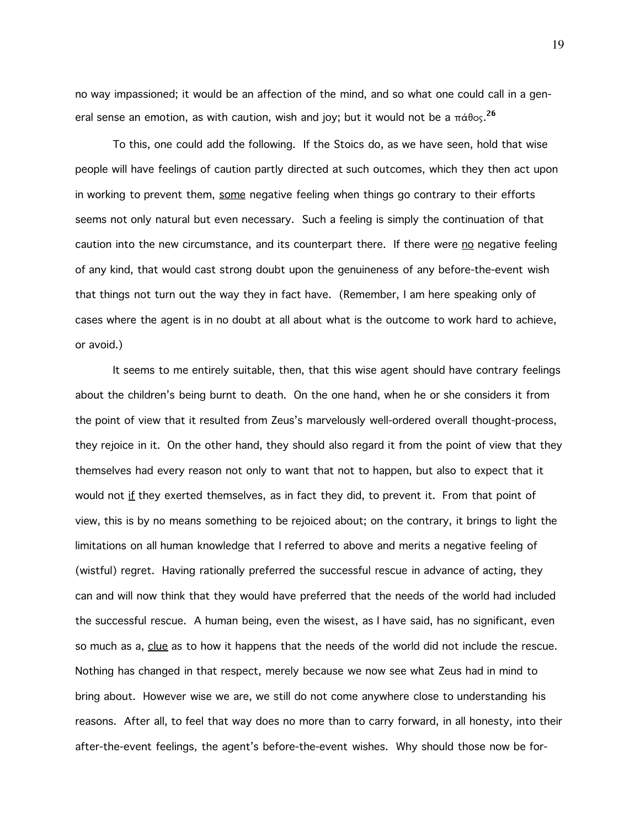no way impassioned; it would be an affection of the mind, and so what one could call in a general sense an emotion, as with caution, wish and joy; but it would not be a  $\pi$ á $\theta$ os. $^{26}$ 

To this, one could add the following. If the Stoics do, as we have seen, hold that wise people will have feelings of caution partly directed at such outcomes, which they then act upon in working to prevent them, some negative feeling when things go contrary to their efforts seems not only natural but even necessary. Such a feeling is simply the continuation of that caution into the new circumstance, and its counterpart there. If there were no negative feeling of any kind, that would cast strong doubt upon the genuineness of any before-the-event wish that things not turn out the way they in fact have. (Remember, I am here speaking only of cases where the agent is in no doubt at all about what is the outcome to work hard to achieve, or avoid.)

It seems to me entirely suitable, then, that this wise agent should have contrary feelings about the children's being burnt to death. On the one hand, when he or she considers it from the point of view that it resulted from Zeus's marvelously well-ordered overall thought-process, they rejoice in it. On the other hand, they should also regard it from the point of view that they themselves had every reason not only to want that not to happen, but also to expect that it would not if they exerted themselves, as in fact they did, to prevent it. From that point of view, this is by no means something to be rejoiced about; on the contrary, it brings to light the limitations on all human knowledge that I referred to above and merits a negative feeling of (wistful) regret. Having rationally preferred the successful rescue in advance of acting, they can and will now think that they would have preferred that the needs of the world had included the successful rescue. A human being, even the wisest, as I have said, has no significant, even so much as a, clue as to how it happens that the needs of the world did not include the rescue. Nothing has changed in that respect, merely because we now see what Zeus had in mind to bring about. However wise we are, we still do not come anywhere close to understanding his reasons. After all, to feel that way does no more than to carry forward, in all honesty, into their after-the-event feelings, the agent's before-the-event wishes. Why should those now be for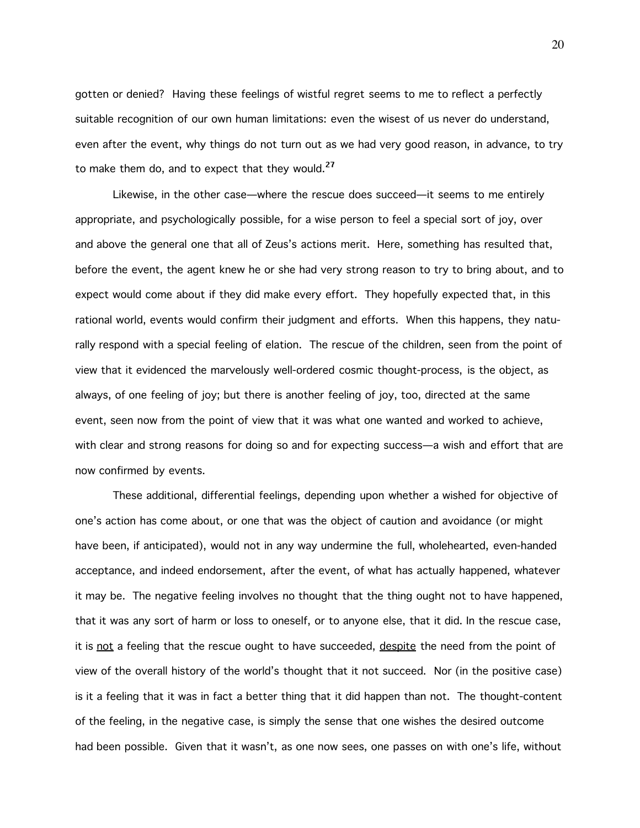gotten or denied? Having these feelings of wistful regret seems to me to reflect a perfectly suitable recognition of our own human limitations: even the wisest of us never do understand, even after the event, why things do not turn out as we had very good reason, in advance, to try to make them do, and to expect that they would. $^{27}$ 

Likewise, in the other case—where the rescue does succeed—it seems to me entirely appropriate, and psychologically possible, for a wise person to feel a special sort of joy, over and above the general one that all of Zeus's actions merit. Here, something has resulted that, before the event, the agent knew he or she had very strong reason to try to bring about, and to expect would come about if they did make every effort. They hopefully expected that, in this rational world, events would confirm their judgment and efforts. When this happens, they naturally respond with a special feeling of elation. The rescue of the children, seen from the point of view that it evidenced the marvelously well-ordered cosmic thought-process, is the object, as always, of one feeling of joy; but there is another feeling of joy, too, directed at the same event, seen now from the point of view that it was what one wanted and worked to achieve, with clear and strong reasons for doing so and for expecting success—a wish and effort that are now confirmed by events.

These additional, differential feelings, depending upon whether a wished for objective of one's action has come about, or one that was the object of caution and avoidance (or might have been, if anticipated), would not in any way undermine the full, wholehearted, even-handed acceptance, and indeed endorsement, after the event, of what has actually happened, whatever it may be. The negative feeling involves no thought that the thing ought not to have happened, that it was any sort of harm or loss to oneself, or to anyone else, that it did. In the rescue case, it is not a feeling that the rescue ought to have succeeded, despite the need from the point of view of the overall history of the world's thought that it not succeed. Nor (in the positive case) is it a feeling that it was in fact a better thing that it did happen than not. The thought-content of the feeling, in the negative case, is simply the sense that one wishes the desired outcome had been possible. Given that it wasn't, as one now sees, one passes on with one's life, without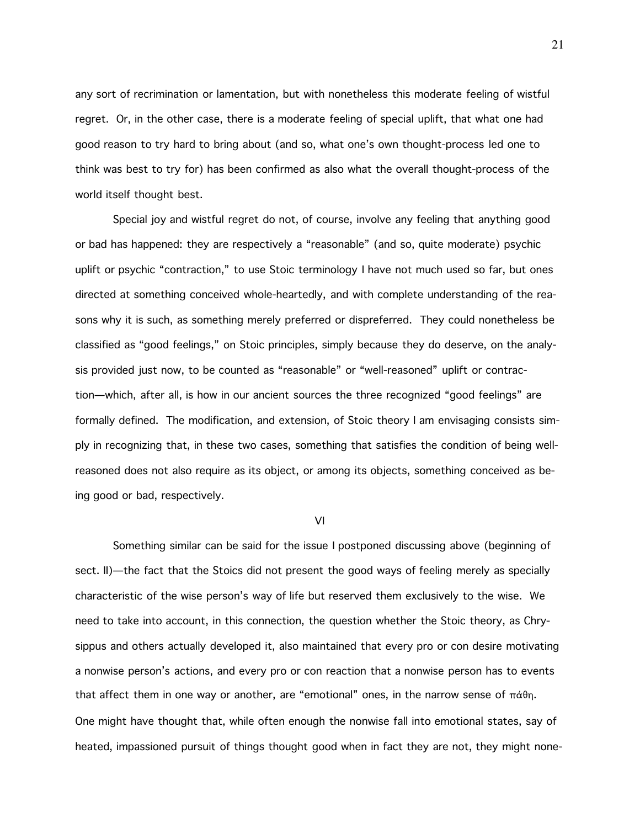any sort of recrimination or lamentation, but with nonetheless this moderate feeling of wistful regret. Or, in the other case, there is a moderate feeling of special uplift, that what one had good reason to try hard to bring about (and so, what one's own thought-process led one to think was best to try for) has been confirmed as also what the overall thought-process of the world itself thought best.

Special joy and wistful regret do not, of course, involve any feeling that anything good or bad has happened: they are respectively a "reasonable" (and so, quite moderate) psychic uplift or psychic "contraction," to use Stoic terminology I have not much used so far, but ones directed at something conceived whole-heartedly, and with complete understanding of the reasons why it is such, as something merely preferred or dispreferred. They could nonetheless be classified as "good feelings," on Stoic principles, simply because they do deserve, on the analysis provided just now, to be counted as "reasonable" or "well-reasoned" uplift or contraction—which, after all, is how in our ancient sources the three recognized "good feelings" are formally defined. The modification, and extension, of Stoic theory I am envisaging consists simply in recognizing that, in these two cases, something that satisfies the condition of being wellreasoned does not also require as its object, or among its objects, something conceived as being good or bad, respectively.

VI

Something similar can be said for the issue I postponed discussing above (beginning of sect. II)—the fact that the Stoics did not present the good ways of feeling merely as specially characteristic of the wise person's way of life but reserved them exclusively to the wise. We need to take into account, in this connection, the question whether the Stoic theory, as Chrysippus and others actually developed it, also maintained that every pro or con desire motivating a nonwise person's actions, and every pro or con reaction that a nonwise person has to events that affect them in one way or another, are "emotional" ones, in the narrow sense of  $\pi \dot{\alpha} \theta$ n. One might have thought that, while often enough the nonwise fall into emotional states, say of heated, impassioned pursuit of things thought good when in fact they are not, they might none-

21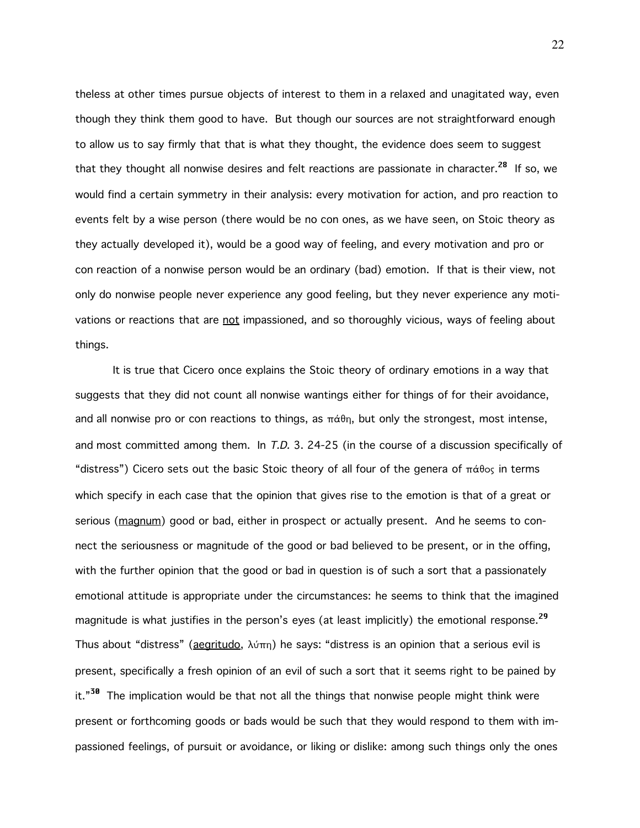theless at other times pursue objects of interest to them in a relaxed and unagitated way, even though they think them good to have. But though our sources are not straightforward enough to allow us to say firmly that that is what they thought, the evidence does seem to suggest that they thought all nonwise desires and felt reactions are passionate in character.<sup>28</sup> If so, we would find a certain symmetry in their analysis: every motivation for action, and pro reaction to events felt by a wise person (there would be no con ones, as we have seen, on Stoic theory as they actually developed it), would be a good way of feeling, and every motivation and pro or con reaction of a nonwise person would be an ordinary (bad) emotion. If that is their view, not only do nonwise people never experience any good feeling, but they never experience any motivations or reactions that are not impassioned, and so thoroughly vicious, ways of feeling about things.

It is true that Cicero once explains the Stoic theory of ordinary emotions in a way that suggests that they did not count all nonwise wantings either for things of for their avoidance, and all nonwise pro or con reactions to things, as  $\pi \dot{\alpha} \theta$ , but only the strongest, most intense, and most committed among them. In T.D. 3. 24-25 (in the course of a discussion specifically of "distress") Cicero sets out the basic Stoic theory of all four of the genera of  $\pi \dot{\alpha} \theta$ os in terms which specify in each case that the opinion that gives rise to the emotion is that of a great or serious (magnum) good or bad, either in prospect or actually present. And he seems to connect the seriousness or magnitude of the good or bad believed to be present, or in the offing, with the further opinion that the good or bad in question is of such a sort that a passionately emotional attitude is appropriate under the circumstances: he seems to think that the imagined magnitude is what justifies in the person's eyes (at least implicitly) the emotional response.<sup>29</sup> Thus about "distress" (aegritudo,  $\lambda\acute{v}\pi$ n) he says: "distress is an opinion that a serious evil is present, specifically a fresh opinion of an evil of such a sort that it seems right to be pained by it."<sup>30</sup> The implication would be that not all the things that nonwise people might think were present or forthcoming goods or bads would be such that they would respond to them with impassioned feelings, of pursuit or avoidance, or liking or dislike: among such things only the ones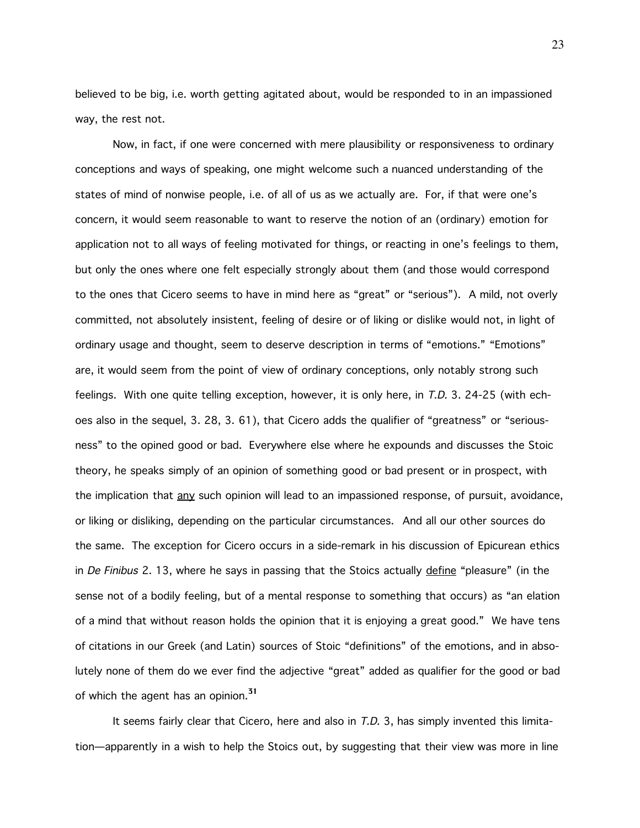believed to be big, i.e. worth getting agitated about, would be responded to in an impassioned way, the rest not.

Now, in fact, if one were concerned with mere plausibility or responsiveness to ordinary conceptions and ways of speaking, one might welcome such a nuanced understanding of the states of mind of nonwise people, i.e. of all of us as we actually are. For, if that were one's concern, it would seem reasonable to want to reserve the notion of an (ordinary) emotion for application not to all ways of feeling motivated for things, or reacting in one's feelings to them, but only the ones where one felt especially strongly about them (and those would correspond to the ones that Cicero seems to have in mind here as "great" or "serious"). A mild, not overly committed, not absolutely insistent, feeling of desire or of liking or dislike would not, in light of ordinary usage and thought, seem to deserve description in terms of "emotions." "Emotions" are, it would seem from the point of view of ordinary conceptions, only notably strong such feelings. With one quite telling exception, however, it is only here, in T.D. 3. 24-25 (with echoes also in the sequel, 3. 28, 3. 61), that Cicero adds the qualifier of "greatness" or "seriousness" to the opined good or bad. Everywhere else where he expounds and discusses the Stoic theory, he speaks simply of an opinion of something good or bad present or in prospect, with the implication that any such opinion will lead to an impassioned response, of pursuit, avoidance, or liking or disliking, depending on the particular circumstances. And all our other sources do the same. The exception for Cicero occurs in a side-remark in his discussion of Epicurean ethics in De Finibus 2. 13, where he says in passing that the Stoics actually define "pleasure" (in the sense not of a bodily feeling, but of a mental response to something that occurs) as "an elation of a mind that without reason holds the opinion that it is enjoying a great good." We have tens of citations in our Greek (and Latin) sources of Stoic "definitions" of the emotions, and in absolutely none of them do we ever find the adjective "great" added as qualifier for the good or bad of which the agent has an opinion.<sup>31</sup>

It seems fairly clear that Cicero, here and also in  $T.D.$  3, has simply invented this limitation—apparently in a wish to help the Stoics out, by suggesting that their view was more in line

23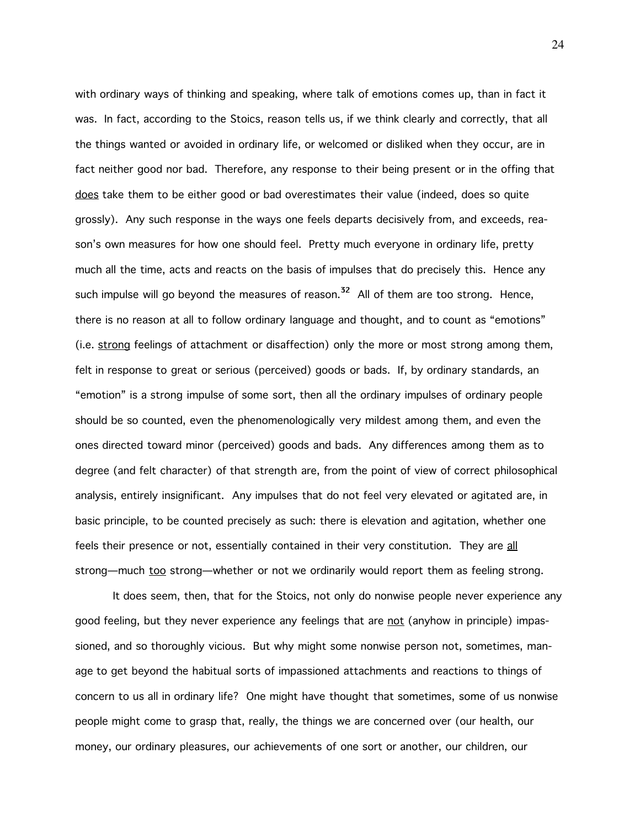with ordinary ways of thinking and speaking, where talk of emotions comes up, than in fact it was. In fact, according to the Stoics, reason tells us, if we think clearly and correctly, that all the things wanted or avoided in ordinary life, or welcomed or disliked when they occur, are in fact neither good nor bad. Therefore, any response to their being present or in the offing that does take them to be either good or bad overestimates their value (indeed, does so quite grossly). Any such response in the ways one feels departs decisively from, and exceeds, reason's own measures for how one should feel. Pretty much everyone in ordinary life, pretty much all the time, acts and reacts on the basis of impulses that do precisely this. Hence any such impulse will go beyond the measures of reason.<sup>32</sup> All of them are too strong. Hence, there is no reason at all to follow ordinary language and thought, and to count as "emotions" (i.e. strong feelings of attachment or disaffection) only the more or most strong among them, felt in response to great or serious (perceived) goods or bads. If, by ordinary standards, an "emotion" is a strong impulse of some sort, then all the ordinary impulses of ordinary people should be so counted, even the phenomenologically very mildest among them, and even the ones directed toward minor (perceived) goods and bads. Any differences among them as to degree (and felt character) of that strength are, from the point of view of correct philosophical analysis, entirely insignificant. Any impulses that do not feel very elevated or agitated are, in basic principle, to be counted precisely as such: there is elevation and agitation, whether one feels their presence or not, essentially contained in their very constitution. They are all strong—much too strong—whether or not we ordinarily would report them as feeling strong.

It does seem, then, that for the Stoics, not only do nonwise people never experience any good feeling, but they never experience any feelings that are not (anyhow in principle) impassioned, and so thoroughly vicious. But why might some nonwise person not, sometimes, manage to get beyond the habitual sorts of impassioned attachments and reactions to things of concern to us all in ordinary life? One might have thought that sometimes, some of us nonwise people might come to grasp that, really, the things we are concerned over (our health, our money, our ordinary pleasures, our achievements of one sort or another, our children, our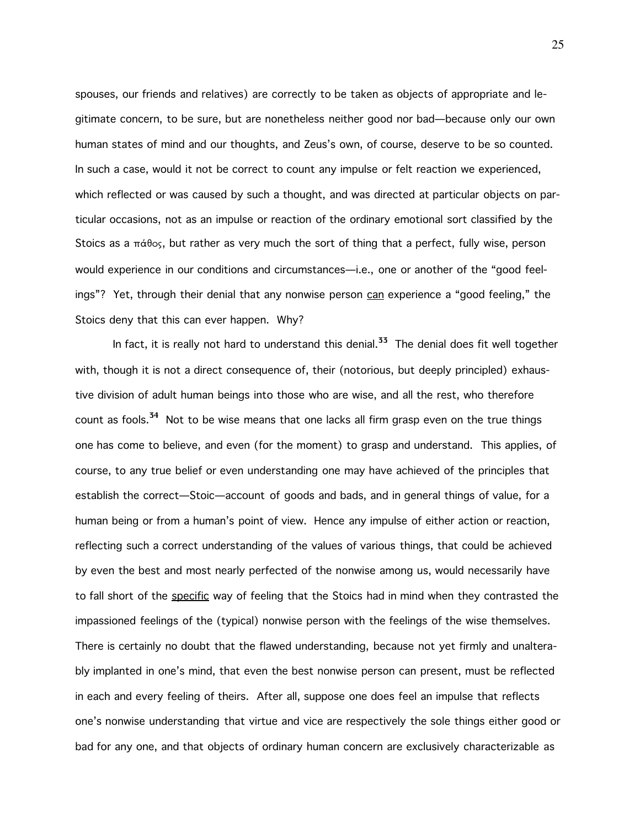spouses, our friends and relatives) are correctly to be taken as objects of appropriate and legitimate concern, to be sure, but are nonetheless neither good nor bad—because only our own human states of mind and our thoughts, and Zeus's own, of course, deserve to be so counted. In such a case, would it not be correct to count any impulse or felt reaction we experienced, which reflected or was caused by such a thought, and was directed at particular objects on particular occasions, not as an impulse or reaction of the ordinary emotional sort classified by the Stoics as a  $\pi \acute{\alpha} \theta$ os, but rather as very much the sort of thing that a perfect, fully wise, person would experience in our conditions and circumstances—i.e., one or another of the "good feelings"? Yet, through their denial that any nonwise person can experience a "good feeling," the Stoics deny that this can ever happen. Why?

In fact, it is really not hard to understand this denial.<sup>33</sup> The denial does fit well together with, though it is not a direct consequence of, their (notorious, but deeply principled) exhaustive division of adult human beings into those who are wise, and all the rest, who therefore count as fools.<sup>34</sup> Not to be wise means that one lacks all firm grasp even on the true things one has come to believe, and even (for the moment) to grasp and understand. This applies, of course, to any true belief or even understanding one may have achieved of the principles that establish the correct—Stoic—account of goods and bads, and in general things of value, for a human being or from a human's point of view. Hence any impulse of either action or reaction, reflecting such a correct understanding of the values of various things, that could be achieved by even the best and most nearly perfected of the nonwise among us, would necessarily have to fall short of the specific way of feeling that the Stoics had in mind when they contrasted the impassioned feelings of the (typical) nonwise person with the feelings of the wise themselves. There is certainly no doubt that the flawed understanding, because not yet firmly and unalterably implanted in one's mind, that even the best nonwise person can present, must be reflected in each and every feeling of theirs. After all, suppose one does feel an impulse that reflects one's nonwise understanding that virtue and vice are respectively the sole things either good or bad for any one, and that objects of ordinary human concern are exclusively characterizable as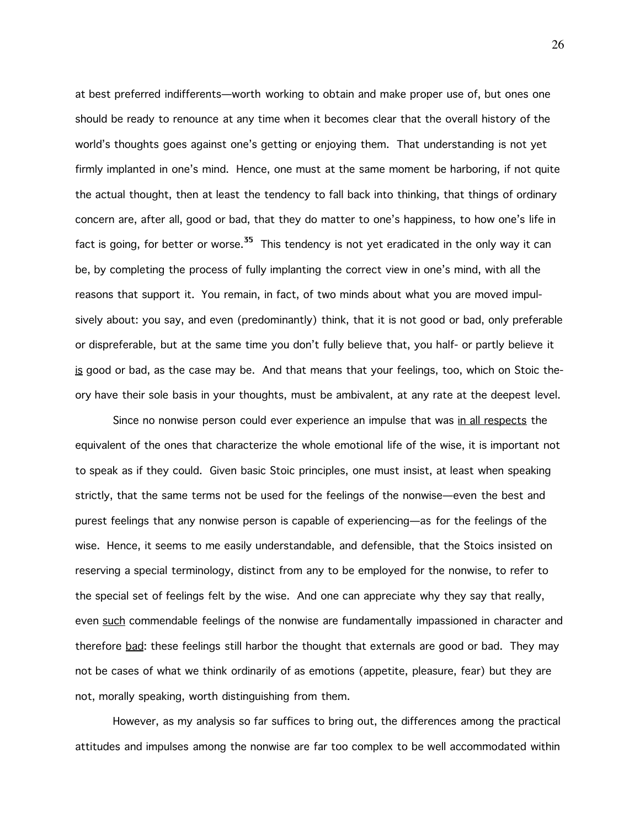at best preferred indifferents—worth working to obtain and make proper use of, but ones one should be ready to renounce at any time when it becomes clear that the overall history of the world's thoughts goes against one's getting or enjoying them. That understanding is not yet firmly implanted in one's mind. Hence, one must at the same moment be harboring, if not quite the actual thought, then at least the tendency to fall back into thinking, that things of ordinary concern are, after all, good or bad, that they do matter to one's happiness, to how one's life in fact is going, for better or worse.<sup>35</sup> This tendency is not yet eradicated in the only way it can be, by completing the process of fully implanting the correct view in one's mind, with all the reasons that support it. You remain, in fact, of two minds about what you are moved impulsively about: you say, and even (predominantly) think, that it is not good or bad, only preferable or dispreferable, but at the same time you don't fully believe that, you half- or partly believe it is good or bad, as the case may be. And that means that your feelings, too, which on Stoic theory have their sole basis in your thoughts, must be ambivalent, at any rate at the deepest level.

Since no nonwise person could ever experience an impulse that was in all respects the equivalent of the ones that characterize the whole emotional life of the wise, it is important not to speak as if they could. Given basic Stoic principles, one must insist, at least when speaking strictly, that the same terms not be used for the feelings of the nonwise—even the best and purest feelings that any nonwise person is capable of experiencing—as for the feelings of the wise. Hence, it seems to me easily understandable, and defensible, that the Stoics insisted on reserving a special terminology, distinct from any to be employed for the nonwise, to refer to the special set of feelings felt by the wise. And one can appreciate why they say that really, even such commendable feelings of the nonwise are fundamentally impassioned in character and therefore bad: these feelings still harbor the thought that externals are good or bad. They may not be cases of what we think ordinarily of as emotions (appetite, pleasure, fear) but they are not, morally speaking, worth distinguishing from them.

However, as my analysis so far suffices to bring out, the differences among the practical attitudes and impulses among the nonwise are far too complex to be well accommodated within

26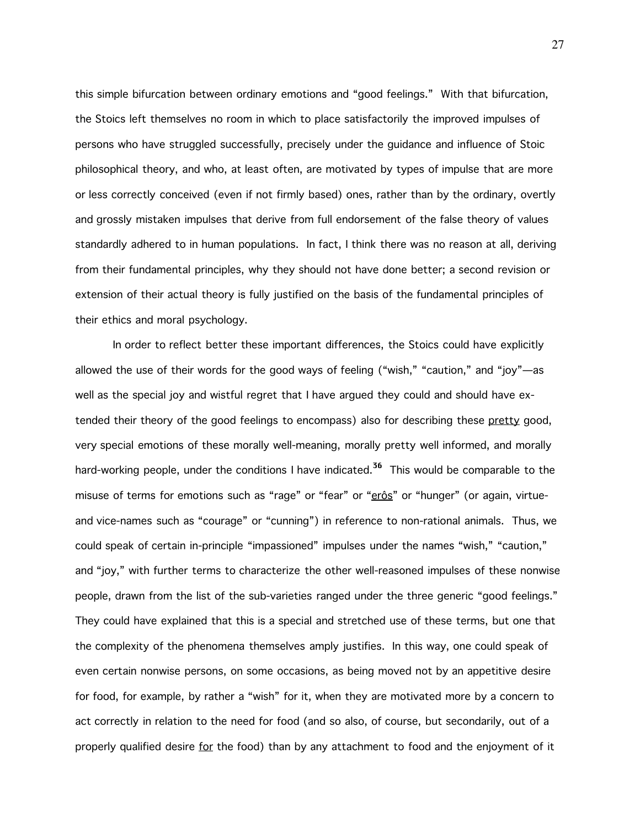this simple bifurcation between ordinary emotions and "good feelings." With that bifurcation, the Stoics left themselves no room in which to place satisfactorily the improved impulses of persons who have struggled successfully, precisely under the guidance and influence of Stoic philosophical theory, and who, at least often, are motivated by types of impulse that are more or less correctly conceived (even if not firmly based) ones, rather than by the ordinary, overtly and grossly mistaken impulses that derive from full endorsement of the false theory of values standardly adhered to in human populations. In fact, I think there was no reason at all, deriving from their fundamental principles, why they should not have done better; a second revision or extension of their actual theory is fully justified on the basis of the fundamental principles of their ethics and moral psychology.

In order to reflect better these important differences, the Stoics could have explicitly allowed the use of their words for the good ways of feeling ("wish," "caution," and "joy"—as well as the special joy and wistful regret that I have argued they could and should have extended their theory of the good feelings to encompass) also for describing these pretty good, very special emotions of these morally well-meaning, morally pretty well informed, and morally hard-working people, under the conditions I have indicated.<sup>36</sup> This would be comparable to the misuse of terms for emotions such as "rage" or "fear" or "erôs" or "hunger" (or again, virtueand vice-names such as "courage" or "cunning") in reference to non-rational animals. Thus, we could speak of certain in-principle "impassioned" impulses under the names "wish," "caution," and "joy," with further terms to characterize the other well-reasoned impulses of these nonwise people, drawn from the list of the sub-varieties ranged under the three generic "good feelings." They could have explained that this is a special and stretched use of these terms, but one that the complexity of the phenomena themselves amply justifies. In this way, one could speak of even certain nonwise persons, on some occasions, as being moved not by an appetitive desire for food, for example, by rather a "wish" for it, when they are motivated more by a concern to act correctly in relation to the need for food (and so also, of course, but secondarily, out of a properly qualified desire for the food) than by any attachment to food and the enjoyment of it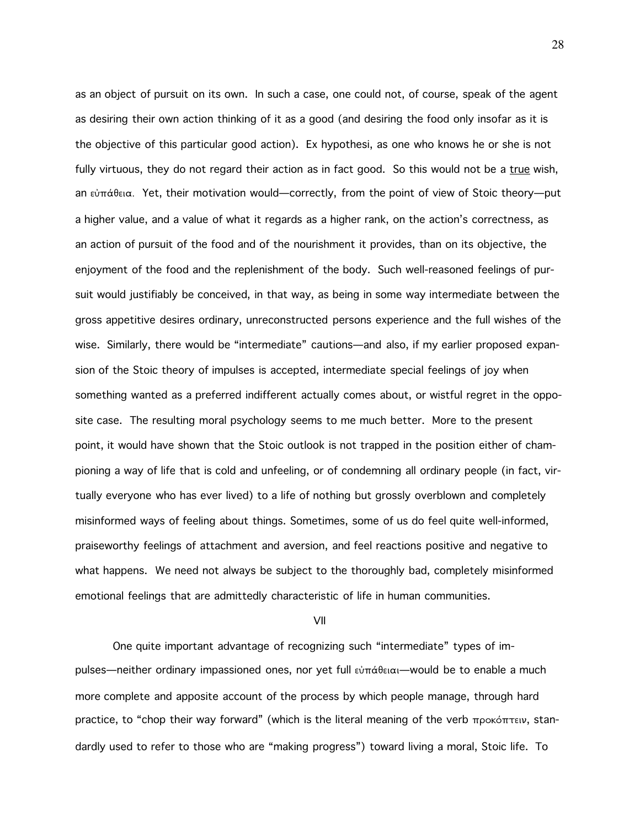as an object of pursuit on its own. In such a case, one could not, of course, speak of the agent as desiring their own action thinking of it as a good (and desiring the food only insofar as it is the objective of this particular good action). Ex hypothesi, as one who knows he or she is not fully virtuous, they do not regard their action as in fact good. So this would not be a true wish, an  $\varepsilon\dot{\sigma}$   $\alpha$ . Yet, their motivation would—correctly, from the point of view of Stoic theory—put a higher value, and a value of what it regards as a higher rank, on the action's correctness, as an action of pursuit of the food and of the nourishment it provides, than on its objective, the enjoyment of the food and the replenishment of the body. Such well-reasoned feelings of pursuit would justifiably be conceived, in that way, as being in some way intermediate between the gross appetitive desires ordinary, unreconstructed persons experience and the full wishes of the wise. Similarly, there would be "intermediate" cautions—and also, if my earlier proposed expansion of the Stoic theory of impulses is accepted, intermediate special feelings of joy when something wanted as a preferred indifferent actually comes about, or wistful regret in the opposite case. The resulting moral psychology seems to me much better. More to the present point, it would have shown that the Stoic outlook is not trapped in the position either of championing a way of life that is cold and unfeeling, or of condemning all ordinary people (in fact, virtually everyone who has ever lived) to a life of nothing but grossly overblown and completely misinformed ways of feeling about things. Sometimes, some of us do feel quite well-informed, praiseworthy feelings of attachment and aversion, and feel reactions positive and negative to what happens. We need not always be subject to the thoroughly bad, completely misinformed emotional feelings that are admittedly characteristic of life in human communities.

VII

One quite important advantage of recognizing such "intermediate" types of impulses—neither ordinary impassioned ones, nor yet full  $\epsilon\omega$  $\pi\alpha\theta\epsilon\alpha$  would be to enable a much more complete and apposite account of the process by which people manage, through hard practice, to "chop their way forward" (which is the literal meaning of the verb  $\pi$ pokÓ $\pi$ TEIV, standardly used to refer to those who are "making progress") toward living a moral, Stoic life. To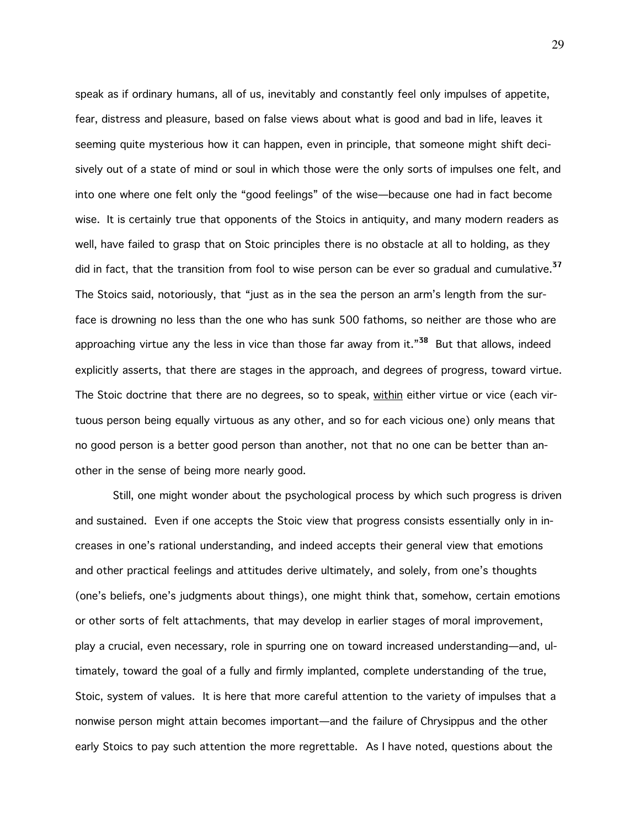speak as if ordinary humans, all of us, inevitably and constantly feel only impulses of appetite, fear, distress and pleasure, based on false views about what is good and bad in life, leaves it seeming quite mysterious how it can happen, even in principle, that someone might shift decisively out of a state of mind or soul in which those were the only sorts of impulses one felt, and into one where one felt only the "good feelings" of the wise—because one had in fact become wise. It is certainly true that opponents of the Stoics in antiquity, and many modern readers as well, have failed to grasp that on Stoic principles there is no obstacle at all to holding, as they did in fact, that the transition from fool to wise person can be ever so gradual and cumulative.<sup>37</sup> The Stoics said, notoriously, that "just as in the sea the person an arm's length from the surface is drowning no less than the one who has sunk 500 fathoms, so neither are those who are approaching virtue any the less in vice than those far away from it."<sup>38</sup> But that allows, indeed explicitly asserts, that there are stages in the approach, and degrees of progress, toward virtue. The Stoic doctrine that there are no degrees, so to speak, within either virtue or vice (each virtuous person being equally virtuous as any other, and so for each vicious one) only means that no good person is a better good person than another, not that no one can be better than another in the sense of being more nearly good.

Still, one might wonder about the psychological process by which such progress is driven and sustained. Even if one accepts the Stoic view that progress consists essentially only in increases in one's rational understanding, and indeed accepts their general view that emotions and other practical feelings and attitudes derive ultimately, and solely, from one's thoughts (one's beliefs, one's judgments about things), one might think that, somehow, certain emotions or other sorts of felt attachments, that may develop in earlier stages of moral improvement, play a crucial, even necessary, role in spurring one on toward increased understanding—and, ultimately, toward the goal of a fully and firmly implanted, complete understanding of the true, Stoic, system of values. It is here that more careful attention to the variety of impulses that a nonwise person might attain becomes important—and the failure of Chrysippus and the other early Stoics to pay such attention the more regrettable. As I have noted, questions about the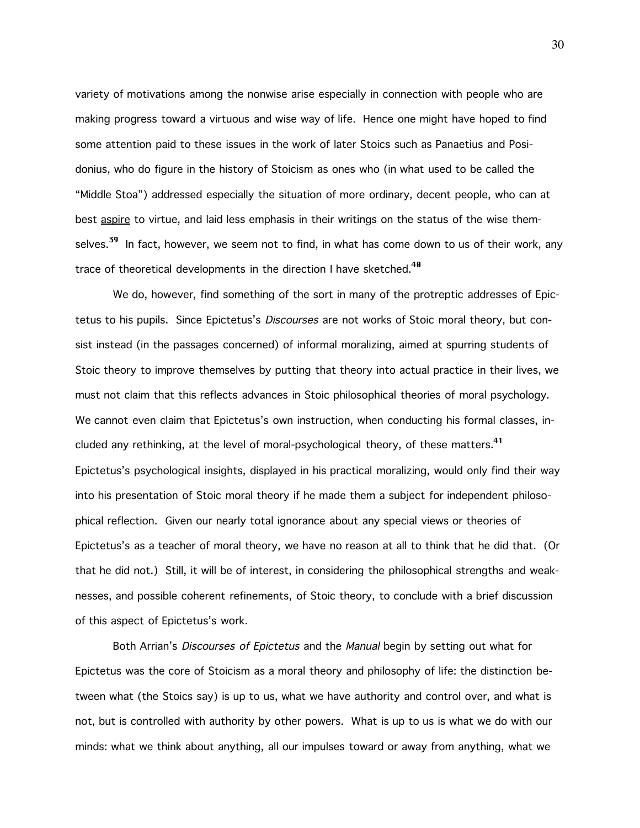variety of motivations among the nonwise arise especially in connection with people who are making progress toward a virtuous and wise way of life. Hence one might have hoped to find some attention paid to these issues in the work of later Stoics such as Panaetius and Posidonius, who do figure in the history of Stoicism as ones who (in what used to be called the "Middle Stoa") addressed especially the situation of more ordinary, decent people, who can at best aspire to virtue, and laid less emphasis in their writings on the status of the wise themselves.<sup>39</sup> In fact, however, we seem not to find, in what has come down to us of their work, any trace of theoretical developments in the direction I have sketched.<sup>40</sup>

We do, however, find something of the sort in many of the protreptic addresses of Epictetus to his pupils. Since Epictetus's Discourses are not works of Stoic moral theory, but consist instead (in the passages concerned) of informal moralizing, aimed at spurring students of Stoic theory to improve themselves by putting that theory into actual practice in their lives, we must not claim that this reflects advances in Stoic philosophical theories of moral psychology. We cannot even claim that Epictetus's own instruction, when conducting his formal classes, included any rethinking, at the level of moral-psychological theory, of these matters.<sup>41</sup> Epictetus's psychological insights, displayed in his practical moralizing, would only find their way into his presentation of Stoic moral theory if he made them a subject for independent philosophical reflection. Given our nearly total ignorance about any special views or theories of Epictetus's as a teacher of moral theory, we have no reason at all to think that he did that. (Or that he did not.) Still, it will be of interest, in considering the philosophical strengths and weaknesses, and possible coherent refinements, of Stoic theory, to conclude with a brief discussion of this aspect of Epictetus's work.

Both Arrian's *Discourses of Epictetus* and the *Manual* begin by setting out what for Epictetus was the core of Stoicism as a moral theory and philosophy of life: the distinction between what (the Stoics say) is up to us, what we have authority and control over, and what is not, but is controlled with authority by other powers. What is up to us is what we do with our minds: what we think about anything, all our impulses toward or away from anything, what we

30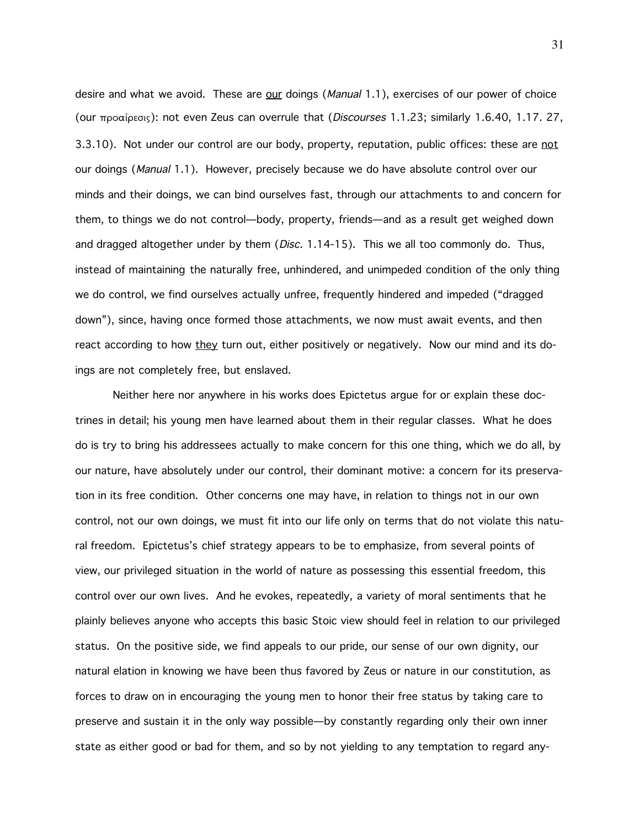desire and what we avoid. These are our doings (*Manual* 1.1), exercises of our power of choice (our  $\pi$ po $\alpha$  (peros): not even Zeus can overrule that (*Discourses* 1.1.23; similarly 1.6.40, 1.17. 27, 3.3.10). Not under our control are our body, property, reputation, public offices: these are not our doings (*Manual* 1.1). However, precisely because we do have absolute control over our minds and their doings, we can bind ourselves fast, through our attachments to and concern for them, to things we do not control—body, property, friends—and as a result get weighed down and dragged altogether under by them  $(Disc. 1.14-15)$ . This we all too commonly do. Thus, instead of maintaining the naturally free, unhindered, and unimpeded condition of the only thing we do control, we find ourselves actually unfree, frequently hindered and impeded ("dragged down"), since, having once formed those attachments, we now must await events, and then react according to how they turn out, either positively or negatively. Now our mind and its doings are not completely free, but enslaved.

Neither here nor anywhere in his works does Epictetus argue for or explain these doctrines in detail; his young men have learned about them in their regular classes. What he does do is try to bring his addressees actually to make concern for this one thing, which we do all, by our nature, have absolutely under our control, their dominant motive: a concern for its preservation in its free condition. Other concerns one may have, in relation to things not in our own control, not our own doings, we must fit into our life only on terms that do not violate this natural freedom. Epictetus's chief strategy appears to be to emphasize, from several points of view, our privileged situation in the world of nature as possessing this essential freedom, this control over our own lives. And he evokes, repeatedly, a variety of moral sentiments that he plainly believes anyone who accepts this basic Stoic view should feel in relation to our privileged status. On the positive side, we find appeals to our pride, our sense of our own dignity, our natural elation in knowing we have been thus favored by Zeus or nature in our constitution, as forces to draw on in encouraging the young men to honor their free status by taking care to preserve and sustain it in the only way possible—by constantly regarding only their own inner state as either good or bad for them, and so by not yielding to any temptation to regard any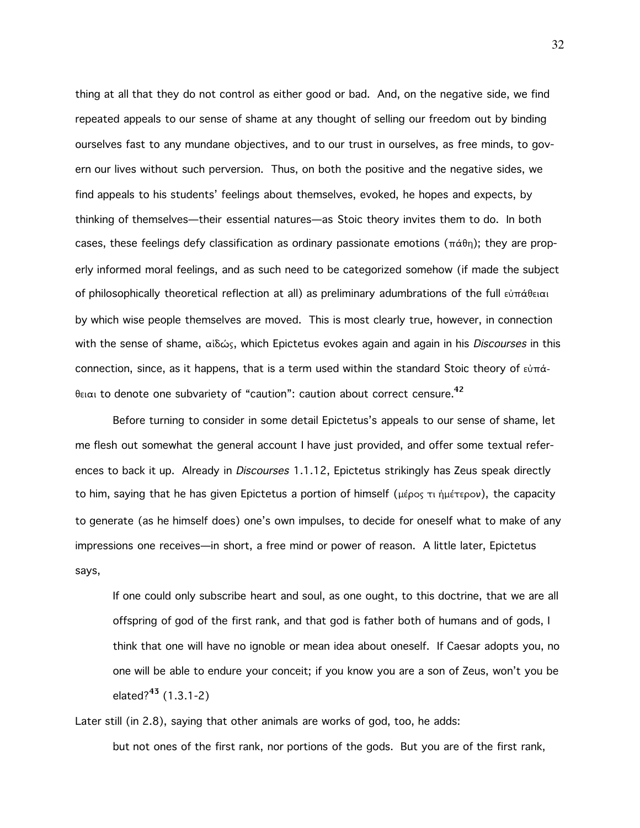thing at all that they do not control as either good or bad. And, on the negative side, we find repeated appeals to our sense of shame at any thought of selling our freedom out by binding ourselves fast to any mundane objectives, and to our trust in ourselves, as free minds, to govern our lives without such perversion. Thus, on both the positive and the negative sides, we find appeals to his students' feelings about themselves, evoked, he hopes and expects, by thinking of themselves—their essential natures—as Stoic theory invites them to do. In both cases, these feelings defy classification as ordinary passionate emotions ( $\pi \dot{\alpha} \theta$ n); they are properly informed moral feelings, and as such need to be categorized somehow (if made the subject of philosophically theoretical reflection at all) as preliminary adumbrations of the full  $\epsilon\dot{\theta}$ πάθειαι by which wise people themselves are moved. This is most clearly true, however, in connection with the sense of shame, αίδώς, which Epictetus evokes again and again in his Discourses in this connection, since, as it happens, that is a term used within the standard Stoic theory of  $\epsilon \dot{v} \pi \dot{\alpha}$ - $\theta$ <sub>El $\alpha$ i to denote one subvariety of "caution": caution about correct censure.<sup>42</sup></sub>

Before turning to consider in some detail Epictetus's appeals to our sense of shame, let me flesh out somewhat the general account I have just provided, and offer some textual references to back it up. Already in Discourses 1.1.12, Epictetus strikingly has Zeus speak directly to him, saying that he has given Epictetus a portion of himself (μέρος τι ήμέτερον), the capacity to generate (as he himself does) one's own impulses, to decide for oneself what to make of any impressions one receives—in short, a free mind or power of reason. A little later, Epictetus says,

If one could only subscribe heart and soul, as one ought, to this doctrine, that we are all offspring of god of the first rank, and that god is father both of humans and of gods, I think that one will have no ignoble or mean idea about oneself. If Caesar adopts you, no one will be able to endure your conceit; if you know you are a son of Zeus, won't you be elated? $43$  (1.3.1-2)

Later still (in 2.8), saying that other animals are works of god, too, he adds: but not ones of the first rank, nor portions of the gods. But you are of the first rank,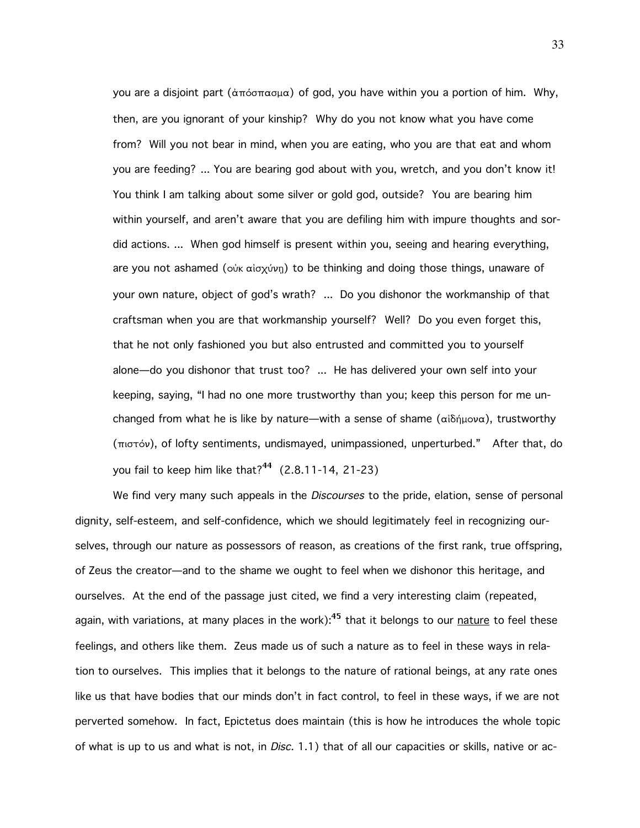you are a disjoint part (άπόσπασμα) of god, you have within you a portion of him. Why, then, are you ignorant of your kinship? Why do you not know what you have come from? Will you not bear in mind, when you are eating, who you are that eat and whom you are feeding? ... You are bearing god about with you, wretch, and you don't know it! You think I am talking about some silver or gold god, outside? You are bearing him within yourself, and aren't aware that you are defiling him with impure thoughts and sordid actions. ... When god himself is present within you, seeing and hearing everything, are you not ashamed ( $\ddot{\text{o}}$ <sub>k</sub>  $\text{a}$ i $\ddot{\text{o}}$ <sub>k</sub>  $\text{o}$  to be thinking and doing those things, unaware of your own nature, object of god's wrath? ... Do you dishonor the workmanship of that craftsman when you are that workmanship yourself? Well? Do you even forget this, that he not only fashioned you but also entrusted and committed you to yourself alone—do you dishonor that trust too? ... He has delivered your own self into your keeping, saying, "I had no one more trustworthy than you; keep this person for me unchanged from what he is like by nature—with a sense of shame ( $\alpha i\delta\eta\mu o\nu\alpha$ ), trustworthy  $(\pi \circ \sigma)$ , of lofty sentiments, undismayed, unimpassioned, unperturbed." After that, do you fail to keep him like that?<sup>44</sup>  $(2.8.11-14, 21-23)$ 

We find very many such appeals in the *Discourses* to the pride, elation, sense of personal dignity, self-esteem, and self-confidence, which we should legitimately feel in recognizing ourselves, through our nature as possessors of reason, as creations of the first rank, true offspring, of Zeus the creator—and to the shame we ought to feel when we dishonor this heritage, and ourselves. At the end of the passage just cited, we find a very interesting claim (repeated, again, with variations, at many places in the work): $45$  that it belongs to our nature to feel these feelings, and others like them. Zeus made us of such a nature as to feel in these ways in relation to ourselves. This implies that it belongs to the nature of rational beings, at any rate ones like us that have bodies that our minds don't in fact control, to feel in these ways, if we are not perverted somehow. In fact, Epictetus does maintain (this is how he introduces the whole topic of what is up to us and what is not, in *Disc.* 1.1) that of all our capacities or skills, native or ac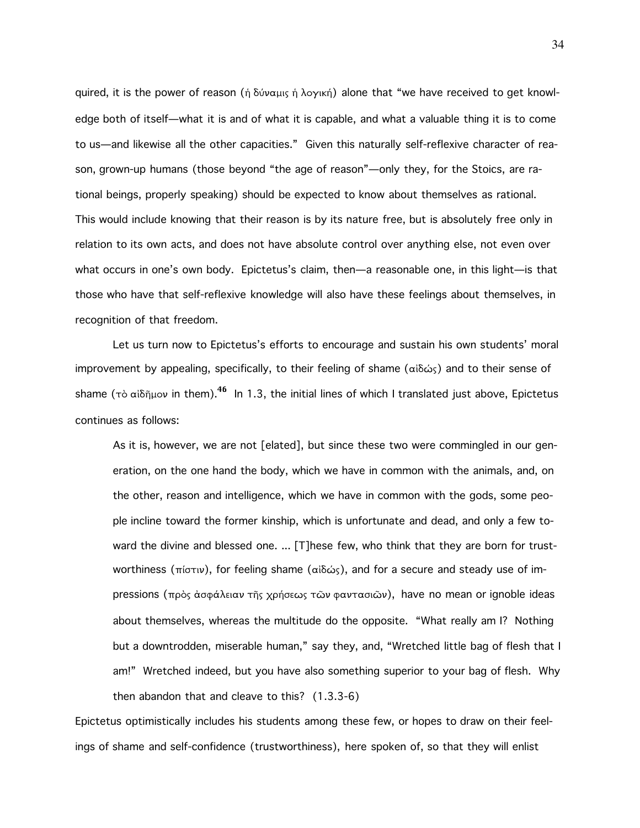quired, it is the power of reason (ή δύναμις ή λογική) alone that "we have received to get knowledge both of itself—what it is and of what it is capable, and what a valuable thing it is to come to us—and likewise all the other capacities." Given this naturally self-reflexive character of reason, grown-up humans (those beyond "the age of reason"—only they, for the Stoics, are rational beings, properly speaking) should be expected to know about themselves as rational. This would include knowing that their reason is by its nature free, but is absolutely free only in relation to its own acts, and does not have absolute control over anything else, not even over what occurs in one's own body. Epictetus's claim, then—a reasonable one, in this light—is that those who have that self-reflexive knowledge will also have these feelings about themselves, in recognition of that freedom.

Let us turn now to Epictetus's efforts to encourage and sustain his own students' moral improvement by appealing, specifically, to their feeling of shame (αiδώς) and to their sense of shame ( $\tau$ )  $\alpha$   $\delta$ <sub>n</sub> in them).<sup>46</sup> In 1.3, the initial lines of which I translated just above, Epictetus continues as follows:

As it is, however, we are not [elated], but since these two were commingled in our generation, on the one hand the body, which we have in common with the animals, and, on the other, reason and intelligence, which we have in common with the gods, some people incline toward the former kinship, which is unfortunate and dead, and only a few toward the divine and blessed one. ... [T]hese few, who think that they are born for trustworthiness (πίστιν), for feeling shame (αἰδώς), and for a secure and steady use of impressions (πρὸς ἀσφάλειαν τῆς χρήσεως τῶν φαντασιῶν), have no mean or ignoble ideas about themselves, whereas the multitude do the opposite. "What really am I? Nothing but a downtrodden, miserable human," say they, and, "Wretched little bag of flesh that I am!" Wretched indeed, but you have also something superior to your bag of flesh. Why then abandon that and cleave to this? (1.3.3-6)

Epictetus optimistically includes his students among these few, or hopes to draw on their feelings of shame and self-confidence (trustworthiness), here spoken of, so that they will enlist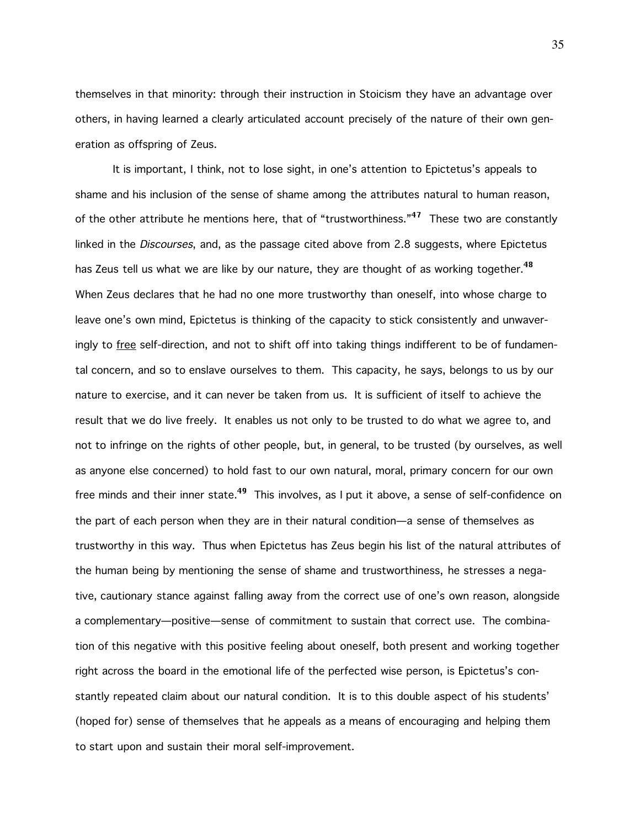themselves in that minority: through their instruction in Stoicism they have an advantage over others, in having learned a clearly articulated account precisely of the nature of their own generation as offspring of Zeus.

It is important, I think, not to lose sight, in one's attention to Epictetus's appeals to shame and his inclusion of the sense of shame among the attributes natural to human reason, of the other attribute he mentions here, that of "trustworthiness." $47$  These two are constantly linked in the *Discourses*, and, as the passage cited above from 2.8 suggests, where Epictetus has Zeus tell us what we are like by our nature, they are thought of as working together.<sup>48</sup> When Zeus declares that he had no one more trustworthy than oneself, into whose charge to leave one's own mind, Epictetus is thinking of the capacity to stick consistently and unwaveringly to free self-direction, and not to shift off into taking things indifferent to be of fundamental concern, and so to enslave ourselves to them. This capacity, he says, belongs to us by our nature to exercise, and it can never be taken from us. It is sufficient of itself to achieve the result that we do live freely. It enables us not only to be trusted to do what we agree to, and not to infringe on the rights of other people, but, in general, to be trusted (by ourselves, as well as anyone else concerned) to hold fast to our own natural, moral, primary concern for our own free minds and their inner state.<sup>49</sup> This involves, as I put it above, a sense of self-confidence on the part of each person when they are in their natural condition—a sense of themselves as trustworthy in this way. Thus when Epictetus has Zeus begin his list of the natural attributes of the human being by mentioning the sense of shame and trustworthiness, he stresses a negative, cautionary stance against falling away from the correct use of one's own reason, alongside a complementary—positive—sense of commitment to sustain that correct use. The combination of this negative with this positive feeling about oneself, both present and working together right across the board in the emotional life of the perfected wise person, is Epictetus's constantly repeated claim about our natural condition. It is to this double aspect of his students' (hoped for) sense of themselves that he appeals as a means of encouraging and helping them to start upon and sustain their moral self-improvement.

35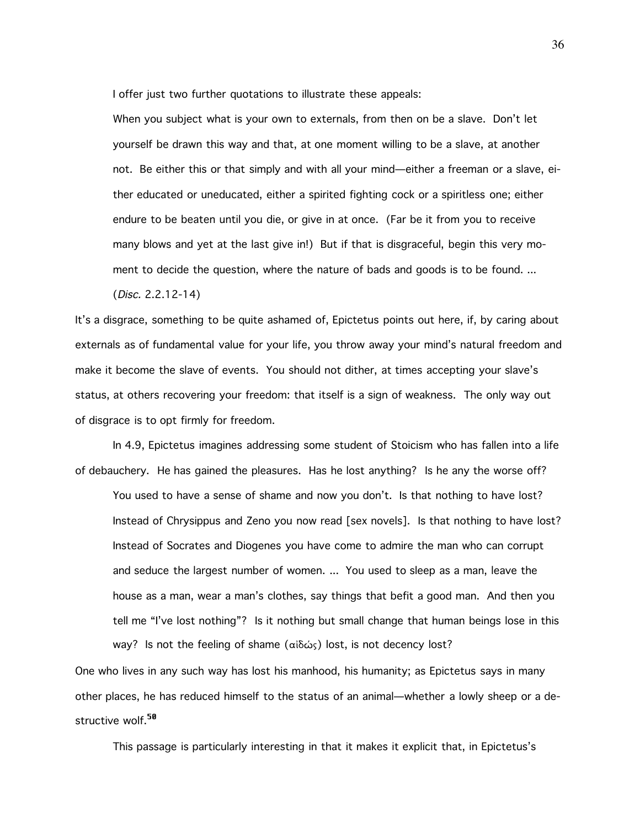I offer just two further quotations to illustrate these appeals:

When you subject what is your own to externals, from then on be a slave. Don't let yourself be drawn this way and that, at one moment willing to be a slave, at another not. Be either this or that simply and with all your mind—either a freeman or a slave, either educated or uneducated, either a spirited fighting cock or a spiritless one; either endure to be beaten until you die, or give in at once. (Far be it from you to receive many blows and yet at the last give in!) But if that is disgraceful, begin this very moment to decide the question, where the nature of bads and goods is to be found. ...

(Disc. 2.2.12-14)

It's a disgrace, something to be quite ashamed of, Epictetus points out here, if, by caring about externals as of fundamental value for your life, you throw away your mind's natural freedom and make it become the slave of events. You should not dither, at times accepting your slave's status, at others recovering your freedom: that itself is a sign of weakness. The only way out of disgrace is to opt firmly for freedom.

In 4.9, Epictetus imagines addressing some student of Stoicism who has fallen into a life of debauchery. He has gained the pleasures. Has he lost anything? Is he any the worse off?

You used to have a sense of shame and now you don't. Is that nothing to have lost? Instead of Chrysippus and Zeno you now read [sex novels]. Is that nothing to have lost? Instead of Socrates and Diogenes you have come to admire the man who can corrupt and seduce the largest number of women. ... You used to sleep as a man, leave the house as a man, wear a man's clothes, say things that befit a good man. And then you tell me "I've lost nothing"? Is it nothing but small change that human beings lose in this way? Is not the feeling of shame (αἰδώς) lost, is not decency lost?

One who lives in any such way has lost his manhood, his humanity; as Epictetus says in many other places, he has reduced himself to the status of an animal—whether a lowly sheep or a destructive wolf.<sup>50</sup>

This passage is particularly interesting in that it makes it explicit that, in Epictetus's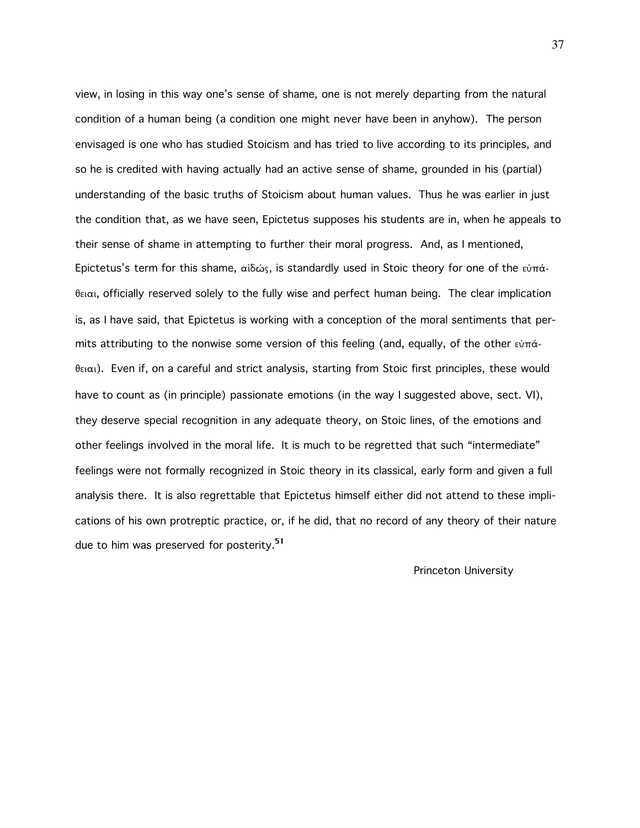view, in losing in this way one's sense of shame, one is not merely departing from the natural condition of a human being (a condition one might never have been in anyhow). The person envisaged is one who has studied Stoicism and has tried to live according to its principles, and so he is credited with having actually had an active sense of shame, grounded in his (partial) understanding of the basic truths of Stoicism about human values. Thus he was earlier in just the condition that, as we have seen, Epictetus supposes his students are in, when he appeals to their sense of shame in attempting to further their moral progress. And, as I mentioned, Epictetus's term for this shame, αίδώς, is standardly used in Stoic theory for one of the εὐπάθειαι, officially reserved solely to the fully wise and perfect human being. The clear implication is, as I have said, that Epictetus is working with a conception of the moral sentiments that permits attributing to the nonwise some version of this feeling (and, equally, of the other  $\epsilon\dot{v}\pi\dot{\alpha}$ - $\theta$ ειαι). Even if, on a careful and strict analysis, starting from Stoic first principles, these would have to count as (in principle) passionate emotions (in the way I suggested above, sect. VI), they deserve special recognition in any adequate theory, on Stoic lines, of the emotions and other feelings involved in the moral life. It is much to be regretted that such "intermediate" feelings were not formally recognized in Stoic theory in its classical, early form and given a full analysis there. It is also regrettable that Epictetus himself either did not attend to these implications of his own protreptic practice, or, if he did, that no record of any theory of their nature due to him was preserved for posterity.<sup>51</sup>

## Princeton University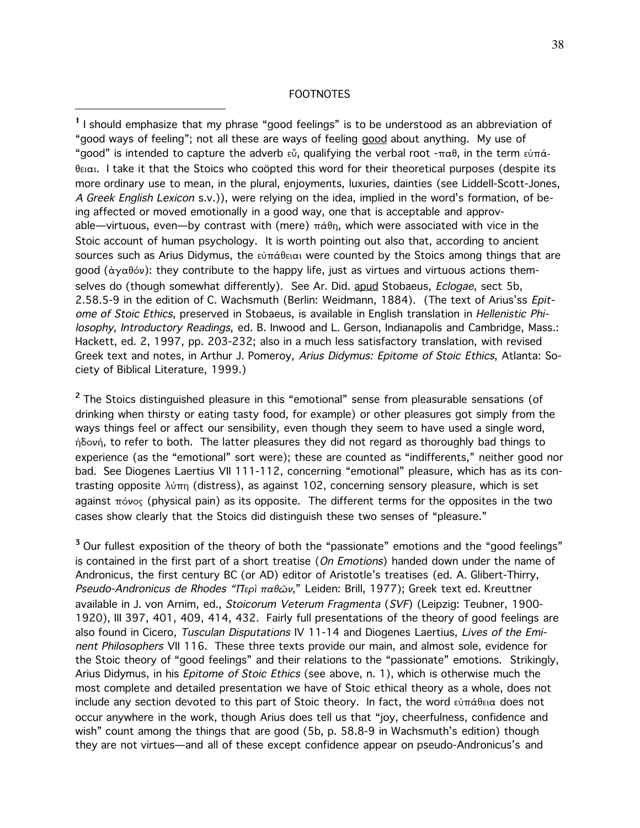## FOOTNOTES

 $\overline{a}$ 

<sup>1</sup> I should emphasize that my phrase "good feelings" is to be understood as an abbreviation of "good ways of feeling"; not all these are ways of feeling good about anything. My use of "good" is intended to capture the adverb  $\epsilon \delta$ , qualifying the verbal root  $-\pi \alpha \theta$ , in the term  $\epsilon \dot{\beta}$  $\theta$ ειαι. I take it that the Stoics who coöpted this word for their theoretical purposes (despite its more ordinary use to mean, in the plural, enjoyments, luxuries, dainties (see Liddell-Scott-Jones, A Greek English Lexicon s.v.)), were relying on the idea, implied in the word's formation, of being affected or moved emotionally in a good way, one that is acceptable and approvable—virtuous, even—by contrast with (mere)  $\pi\dot{\alpha}\theta$ n, which were associated with vice in the Stoic account of human psychology. It is worth pointing out also that, according to ancient sources such as Arius Didymus, the  $\epsilon \hat{v} \pi \hat{\alpha} \theta \epsilon \alpha$  were counted by the Stoics among things that are good ( $\dot{\alpha}$ y $\alpha$  $\beta$  $\dot{\alpha}$ ): they contribute to the happy life, just as virtues and virtuous actions themselves do (though somewhat differently). See Ar. Did. apud Stobaeus, Eclogae, sect 5b, 2.58.5-9 in the edition of C. Wachsmuth (Berlin: Weidmann, 1884). (The text of Arius'ss Epitome of Stoic Ethics, preserved in Stobaeus, is available in English translation in Hellenistic Philosophy, Introductory Readings, ed. B. Inwood and L. Gerson, Indianapolis and Cambridge, Mass.: Hackett, ed. 2, 1997, pp. 203-232; also in a much less satisfactory translation, with revised Greek text and notes, in Arthur J. Pomeroy, Arius Didymus: Epitome of Stoic Ethics, Atlanta: Society of Biblical Literature, 1999.)

<sup>2</sup> The Stoics distinguished pleasure in this "emotional" sense from pleasurable sensations (of drinking when thirsty or eating tasty food, for example) or other pleasures got simply from the ways things feel or affect our sensibility, even though they seem to have used a single word, ήδονή, to refer to both. The latter pleasures they did not regard as thoroughly bad things to experience (as the "emotional" sort were); these are counted as "indifferents," neither good nor bad. See Diogenes Laertius VII 111-112, concerning "emotional" pleasure, which has as its contrasting opposite  $\lambda\dot{\sigma}\pi$  (distress), as against 102, concerning sensory pleasure, which is set against  $\pi\acute{o}vo_5$  (physical pain) as its opposite. The different terms for the opposites in the two cases show clearly that the Stoics did distinguish these two senses of "pleasure."

<sup>3</sup> Our fullest exposition of the theory of both the "passionate" emotions and the "good feelings" is contained in the first part of a short treatise (On Emotions) handed down under the name of Andronicus, the first century BC (or AD) editor of Aristotle's treatises (ed. A. Glibert-Thirry, Pseudo-Andronicus de Rhodes "Περί παθών," Leiden: Brill, 1977); Greek text ed. Kreuttner available in J. von Arnim, ed., Stoicorum Veterum Fragmenta (SVF) (Leipzig: Teubner, 1900- 1920), III 397, 401, 409, 414, 432. Fairly full presentations of the theory of good feelings are also found in Cicero, Tusculan Disputations IV 11-14 and Diogenes Laertius, Lives of the Eminent Philosophers VII 116. These three texts provide our main, and almost sole, evidence for the Stoic theory of "good feelings" and their relations to the "passionate" emotions. Strikingly, Arius Didymus, in his Epitome of Stoic Ethics (see above, n. 1), which is otherwise much the most complete and detailed presentation we have of Stoic ethical theory as a whole, does not include any section devoted to this part of Stoic theory. In fact, the word  $\epsilon \dot{v} \pi \dot{\alpha} \theta \epsilon \alpha$  does not occur anywhere in the work, though Arius does tell us that "joy, cheerfulness, confidence and wish" count among the things that are good (5b, p. 58.8-9 in Wachsmuth's edition) though they are not virtues—and all of these except confidence appear on pseudo-Andronicus's and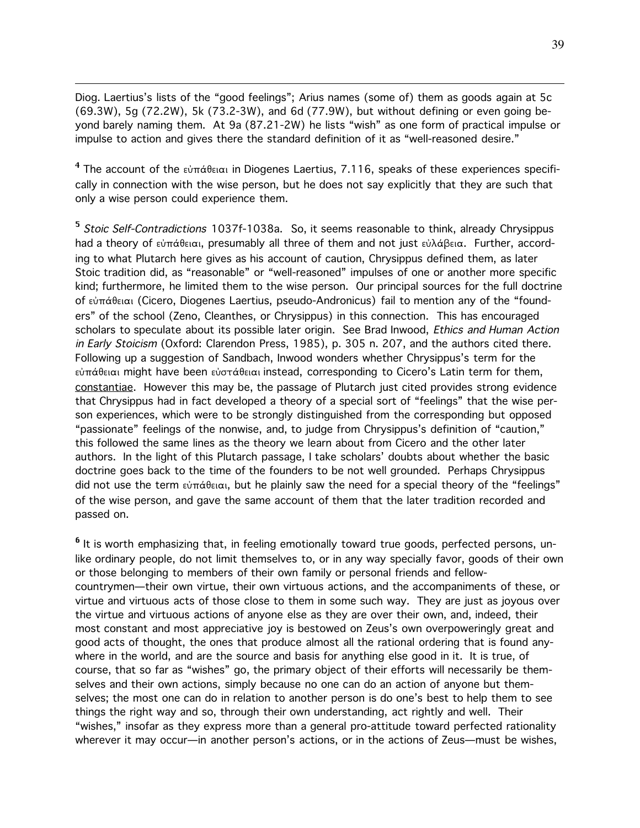Diog. Laertius's lists of the "good feelings"; Arius names (some of) them as goods again at 5c (69.3W), 5g (72.2W), 5k (73.2-3W), and 6d (77.9W), but without defining or even going beyond barely naming them. At 9a (87.21-2W) he lists "wish" as one form of practical impulse or impulse to action and gives there the standard definition of it as "well-reasoned desire."

 $\overline{a}$ 

 $^4$  The account of the εὐπάθειαι in Diogenes Laertius, 7.116, speaks of these experiences specifically in connection with the wise person, but he does not say explicitly that they are such that only a wise person could experience them.

<sup>5</sup> Stoic Self-Contradictions 1037f-1038a. So, it seems reasonable to think, already Chrysippus had a theory of εὐπάθειαι, presumably all three of them and not just εὐλάβεια. Further, according to what Plutarch here gives as his account of caution, Chrysippus defined them, as later Stoic tradition did, as "reasonable" or "well-reasoned" impulses of one or another more specific kind; furthermore, he limited them to the wise person. Our principal sources for the full doctrine of εὐπάθειαι (Cicero, Diogenes Laertius, pseudo-Andronicus) fail to mention any of the "founders" of the school (Zeno, Cleanthes, or Chrysippus) in this connection. This has encouraged scholars to speculate about its possible later origin. See Brad Inwood, Ethics and Human Action in Early Stoicism (Oxford: Clarendon Press, 1985), p. 305 n. 207, and the authors cited there. Following up a suggestion of Sandbach, Inwood wonders whether Chrysippus's term for the εὐπάθειαι might have been εὐστάθειαι instead, corresponding to Cicero's Latin term for them, constantiae. However this may be, the passage of Plutarch just cited provides strong evidence that Chrysippus had in fact developed a theory of a special sort of "feelings" that the wise person experiences, which were to be strongly distinguished from the corresponding but opposed "passionate" feelings of the nonwise, and, to judge from Chrysippus's definition of "caution," this followed the same lines as the theory we learn about from Cicero and the other later authors. In the light of this Plutarch passage, I take scholars' doubts about whether the basic doctrine goes back to the time of the founders to be not well grounded. Perhaps Chrysippus did not use the term  $\epsilon\omega\pi\acute{\alpha}$ θειαι, but he plainly saw the need for a special theory of the "feelings" of the wise person, and gave the same account of them that the later tradition recorded and passed on.

<sup>6</sup> It is worth emphasizing that, in feeling emotionally toward true goods, perfected persons, unlike ordinary people, do not limit themselves to, or in any way specially favor, goods of their own or those belonging to members of their own family or personal friends and fellowcountrymen—their own virtue, their own virtuous actions, and the accompaniments of these, or virtue and virtuous acts of those close to them in some such way. They are just as joyous over the virtue and virtuous actions of anyone else as they are over their own, and, indeed, their most constant and most appreciative joy is bestowed on Zeus's own overpoweringly great and good acts of thought, the ones that produce almost all the rational ordering that is found anywhere in the world, and are the source and basis for anything else good in it. It is true, of course, that so far as "wishes" go, the primary object of their efforts will necessarily be themselves and their own actions, simply because no one can do an action of anyone but themselves; the most one can do in relation to another person is do one's best to help them to see things the right way and so, through their own understanding, act rightly and well. Their "wishes," insofar as they express more than a general pro-attitude toward perfected rationality wherever it may occur—in another person's actions, or in the actions of Zeus—must be wishes,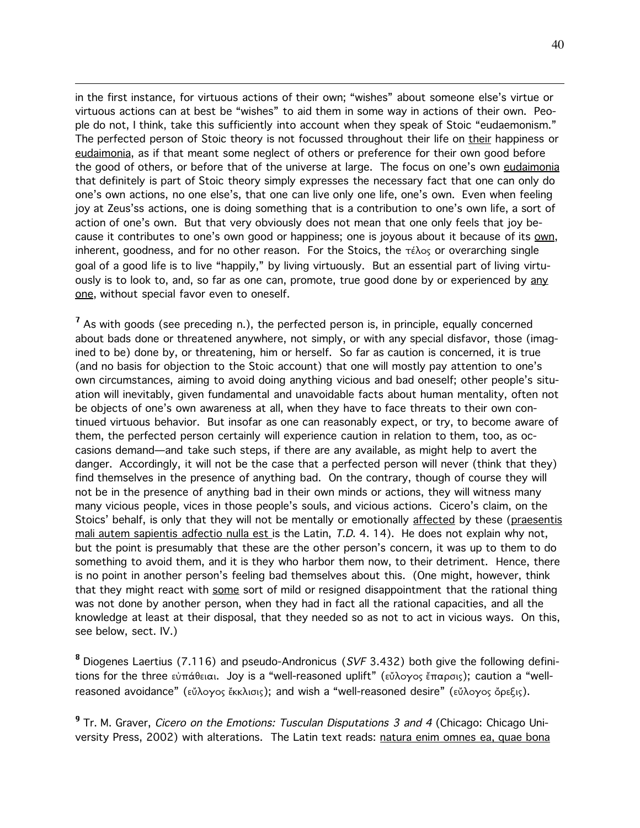in the first instance, for virtuous actions of their own; "wishes" about someone else's virtue or virtuous actions can at best be "wishes" to aid them in some way in actions of their own. People do not, I think, take this sufficiently into account when they speak of Stoic "eudaemonism." The perfected person of Stoic theory is not focussed throughout their life on their happiness or eudaimonia, as if that meant some neglect of others or preference for their own good before the good of others, or before that of the universe at large. The focus on one's own eudaimonia that definitely is part of Stoic theory simply expresses the necessary fact that one can only do one's own actions, no one else's, that one can live only one life, one's own. Even when feeling joy at Zeus'ss actions, one is doing something that is a contribution to one's own life, a sort of action of one's own. But that very obviously does not mean that one only feels that joy because it contributes to one's own good or happiness; one is joyous about it because of its own, inherent, goodness, and for no other reason. For the Stoics, the  $\tau \epsilon \lambda o_S$  or overarching single goal of a good life is to live "happily," by living virtuously. But an essential part of living virtuously is to look to, and, so far as one can, promote, true good done by or experienced by any one, without special favor even to oneself.

 $\overline{a}$ 

<sup>7</sup> As with goods (see preceding n.), the perfected person is, in principle, equally concerned about bads done or threatened anywhere, not simply, or with any special disfavor, those (imagined to be) done by, or threatening, him or herself. So far as caution is concerned, it is true (and no basis for objection to the Stoic account) that one will mostly pay attention to one's own circumstances, aiming to avoid doing anything vicious and bad oneself; other people's situation will inevitably, given fundamental and unavoidable facts about human mentality, often not be objects of one's own awareness at all, when they have to face threats to their own continued virtuous behavior. But insofar as one can reasonably expect, or try, to become aware of them, the perfected person certainly will experience caution in relation to them, too, as occasions demand—and take such steps, if there are any available, as might help to avert the danger. Accordingly, it will not be the case that a perfected person will never (think that they) find themselves in the presence of anything bad. On the contrary, though of course they will not be in the presence of anything bad in their own minds or actions, they will witness many many vicious people, vices in those people's souls, and vicious actions. Cicero's claim, on the Stoics' behalf, is only that they will not be mentally or emotionally affected by these (praesentis mali autem sapientis adfectio nulla est is the Latin, T.D. 4. 14). He does not explain why not, but the point is presumably that these are the other person's concern, it was up to them to do something to avoid them, and it is they who harbor them now, to their detriment. Hence, there is no point in another person's feeling bad themselves about this. (One might, however, think that they might react with some sort of mild or resigned disappointment that the rational thing was not done by another person, when they had in fact all the rational capacities, and all the knowledge at least at their disposal, that they needed so as not to act in vicious ways. On this, see below, sect. IV.)

<sup>8</sup> Diogenes Laertius (7.116) and pseudo-Andronicus (SVF 3.432) both give the following definitions for the three  $\epsilon\dot{\nu}\pi\dot{\alpha}\theta\epsilon\alpha$ . Joy is a "well-reasoned uplift" ( $\epsilon\ddot{\nu}\lambda\dot{\alpha}\gamma\dot{\alpha}\zeta\sin\alpha$ ); caution a "wellreasoned avoidance" (εὔλογος ἔκκλισις); and wish a "well-reasoned desire" (εὔλογος ὄρεξις).

<sup>9</sup> Tr. M. Graver, *Cicero on the Emotions: Tusculan Disputations 3 and 4* (Chicago: Chicago University Press, 2002) with alterations. The Latin text reads: natura enim omnes ea, quae bona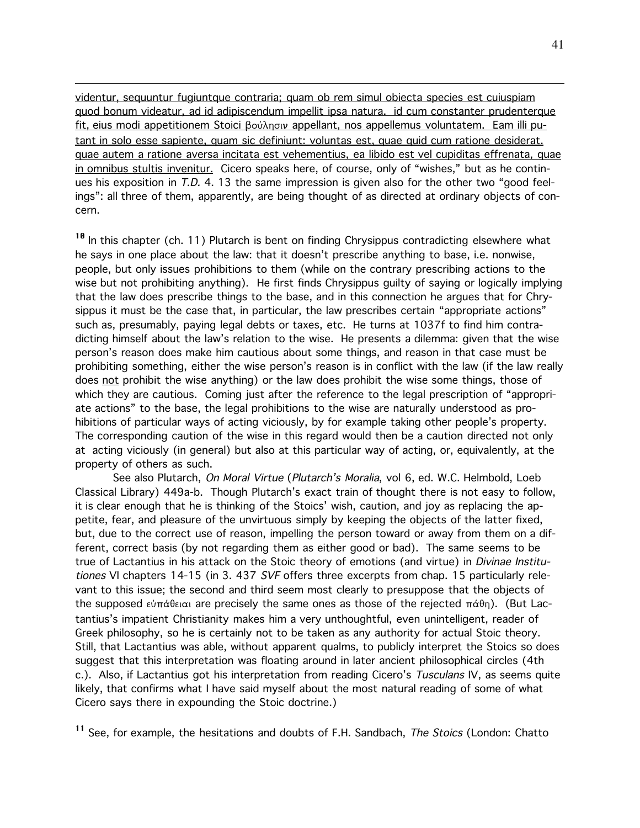videntur, sequuntur fugiuntque contraria; quam ob rem simul obiecta species est cuiuspiam quod bonum videatur, ad id adipiscendum impellit ipsa natura. id cum constanter prudenterque fit, eius modi appetitionem Stoici βούλησιν appellant, nos appellemus voluntatem. Eam illi putant in solo esse sapiente, quam sic definiunt: voluntas est, quae quid cum ratione desiderat. quae autem a ratione aversa incitata est vehementius, ea libido est vel cupiditas effrenata, quae in omnibus stultis invenitur. Cicero speaks here, of course, only of "wishes," but as he continues his exposition in T.D. 4. 13 the same impression is given also for the other two "good feelings": all three of them, apparently, are being thought of as directed at ordinary objects of concern.

 $\overline{a}$ 

<sup>10</sup> In this chapter (ch. 11) Plutarch is bent on finding Chrysippus contradicting elsewhere what he says in one place about the law: that it doesn't prescribe anything to base, i.e. nonwise, people, but only issues prohibitions to them (while on the contrary prescribing actions to the wise but not prohibiting anything). He first finds Chrysippus guilty of saying or logically implying that the law does prescribe things to the base, and in this connection he argues that for Chrysippus it must be the case that, in particular, the law prescribes certain "appropriate actions" such as, presumably, paying legal debts or taxes, etc. He turns at 1037f to find him contradicting himself about the law's relation to the wise. He presents a dilemma: given that the wise person's reason does make him cautious about some things, and reason in that case must be prohibiting something, either the wise person's reason is in conflict with the law (if the law really does not prohibit the wise anything) or the law does prohibit the wise some things, those of which they are cautious. Coming just after the reference to the legal prescription of "appropriate actions" to the base, the legal prohibitions to the wise are naturally understood as prohibitions of particular ways of acting viciously, by for example taking other people's property. The corresponding caution of the wise in this regard would then be a caution directed not only at acting viciously (in general) but also at this particular way of acting, or, equivalently, at the property of others as such.

See also Plutarch, On Moral Virtue (Plutarch's Moralia, vol 6, ed. W.C. Helmbold, Loeb Classical Library) 449a-b. Though Plutarch's exact train of thought there is not easy to follow, it is clear enough that he is thinking of the Stoics' wish, caution, and joy as replacing the appetite, fear, and pleasure of the unvirtuous simply by keeping the objects of the latter fixed, but, due to the correct use of reason, impelling the person toward or away from them on a different, correct basis (by not regarding them as either good or bad). The same seems to be true of Lactantius in his attack on the Stoic theory of emotions (and virtue) in *Divinae Institu*tiones VI chapters 14-15 (in 3. 437 SVF offers three excerpts from chap. 15 particularly relevant to this issue; the second and third seem most clearly to presuppose that the objects of the supposed  $\epsilon\dot{\nu}\pi\dot{\alpha}\theta\epsilon\alpha\alpha$  are precisely the same ones as those of the rejected  $\pi\dot{\alpha}\theta\eta$ ). (But Lactantius's impatient Christianity makes him a very unthoughtful, even unintelligent, reader of Greek philosophy, so he is certainly not to be taken as any authority for actual Stoic theory. Still, that Lactantius was able, without apparent qualms, to publicly interpret the Stoics so does suggest that this interpretation was floating around in later ancient philosophical circles (4th c.). Also, if Lactantius got his interpretation from reading Cicero's Tusculans IV, as seems quite likely, that confirms what I have said myself about the most natural reading of some of what Cicero says there in expounding the Stoic doctrine.)

<sup>11</sup> See, for example, the hesitations and doubts of F.H. Sandbach, *The Stoics* (London: Chatto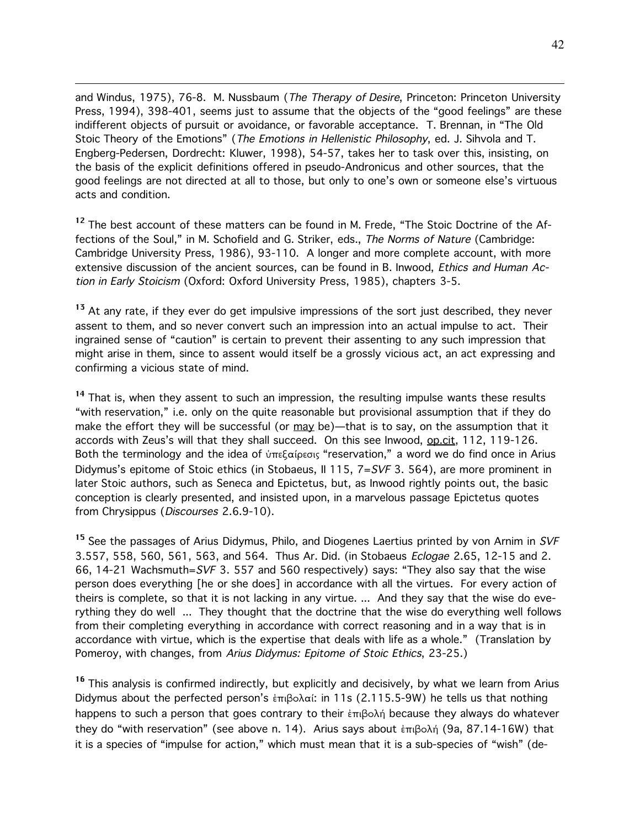and Windus, 1975), 76-8. M. Nussbaum (The Therapy of Desire, Princeton: Princeton University Press, 1994), 398-401, seems just to assume that the objects of the "good feelings" are these indifferent objects of pursuit or avoidance, or favorable acceptance. T. Brennan, in "The Old Stoic Theory of the Emotions" (The Emotions in Hellenistic Philosophy, ed. J. Sihvola and T. Engberg-Pedersen, Dordrecht: Kluwer, 1998), 54-57, takes her to task over this, insisting, on the basis of the explicit definitions offered in pseudo-Andronicus and other sources, that the good feelings are not directed at all to those, but only to one's own or someone else's virtuous acts and condition.

 $\overline{a}$ 

<sup>12</sup> The best account of these matters can be found in M. Frede, "The Stoic Doctrine of the Affections of the Soul," in M. Schofield and G. Striker, eds., The Norms of Nature (Cambridge: Cambridge University Press, 1986), 93-110. A longer and more complete account, with more extensive discussion of the ancient sources, can be found in B. Inwood, *Ethics and Human Ac*tion in Early Stoicism (Oxford: Oxford University Press, 1985), chapters 3-5.

<sup>13</sup> At any rate, if they ever do get impulsive impressions of the sort just described, they never assent to them, and so never convert such an impression into an actual impulse to act. Their ingrained sense of "caution" is certain to prevent their assenting to any such impression that might arise in them, since to assent would itself be a grossly vicious act, an act expressing and confirming a vicious state of mind.

<sup>14</sup> That is, when they assent to such an impression, the resulting impulse wants these results "with reservation," i.e. only on the quite reasonable but provisional assumption that if they do make the effort they will be successful (or  $\frac{may}{cd}$  be)—that is to say, on the assumption that it accords with Zeus's will that they shall succeed. On this see Inwood, op.cit, 112, 119-126. Both the terminology and the idea of ύπεξαίρεσις "reservation," a word we do find once in Arius Didymus's epitome of Stoic ethics (in Stobaeus, II 115, 7=SVF 3. 564), are more prominent in later Stoic authors, such as Seneca and Epictetus, but, as Inwood rightly points out, the basic conception is clearly presented, and insisted upon, in a marvelous passage Epictetus quotes from Chrysippus (Discourses 2.6.9-10).

<sup>15</sup> See the passages of Arius Didymus, Philo, and Diogenes Laertius printed by von Arnim in SVF 3.557, 558, 560, 561, 563, and 564. Thus Ar. Did. (in Stobaeus Eclogae 2.65, 12-15 and 2. 66, 14-21 Wachsmuth=SVF 3. 557 and 560 respectively) says: "They also say that the wise person does everything [he or she does] in accordance with all the virtues. For every action of theirs is complete, so that it is not lacking in any virtue. ... And they say that the wise do everything they do well ... They thought that the doctrine that the wise do everything well follows from their completing everything in accordance with correct reasoning and in a way that is in accordance with virtue, which is the expertise that deals with life as a whole." (Translation by Pomeroy, with changes, from Arius Didymus: Epitome of Stoic Ethics, 23-25.)

<sup>16</sup> This analysis is confirmed indirectly, but explicitly and decisively, by what we learn from Arius Didymus about the perfected person's  $\epsilon \pi \beta \circ \lambda \alpha$ : in 11s (2.115.5-9W) he tells us that nothing happens to such a person that goes contrary to their  $\frac{1}{2}$  because they always do whatever they do "with reservation" (see above n. 14). Arius says about  $\epsilon \pi \beta$ o $\lambda \eta$  (9a, 87.14-16W) that it is a species of "impulse for action," which must mean that it is a sub-species of "wish" (de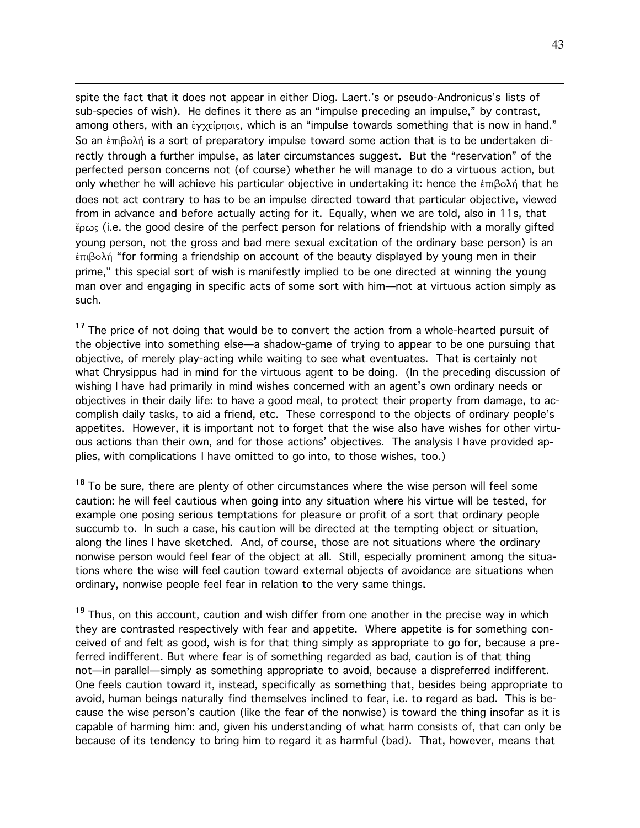spite the fact that it does not appear in either Diog. Laert.'s or pseudo-Andronicus's lists of sub-species of wish). He defines it there as an "impulse preceding an impulse," by contrast, among others, with an  $\epsilon$ yx $\epsilon$ ípnois, which is an "impulse towards something that is now in hand." So an  $\epsilon$ <sub>πιβο</sub>λή is a sort of preparatory impulse toward some action that is to be undertaken directly through a further impulse, as later circumstances suggest. But the "reservation" of the perfected person concerns not (of course) whether he will manage to do a virtuous action, but only whether he will achieve his particular objective in undertaking it: hence the  $\epsilon \pi \beta \circ \lambda \gamma$  that he does not act contrary to has to be an impulse directed toward that particular objective, viewed from in advance and before actually acting for it. Equally, when we are told, also in 11s, that ¶rvw (i.e. the good desire of the perfect person for relations of friendship with a morally gifted young person, not the gross and bad mere sexual excitation of the ordinary base person) is an  $\epsilon \pi \beta$ o $\delta \eta$  "for forming a friendship on account of the beauty displayed by young men in their prime," this special sort of wish is manifestly implied to be one directed at winning the young man over and engaging in specific acts of some sort with him—not at virtuous action simply as such.

 $\overline{a}$ 

<sup>17</sup> The price of not doing that would be to convert the action from a whole-hearted pursuit of the objective into something else—a shadow-game of trying to appear to be one pursuing that objective, of merely play-acting while waiting to see what eventuates. That is certainly not what Chrysippus had in mind for the virtuous agent to be doing. (In the preceding discussion of wishing I have had primarily in mind wishes concerned with an agent's own ordinary needs or objectives in their daily life: to have a good meal, to protect their property from damage, to accomplish daily tasks, to aid a friend, etc. These correspond to the objects of ordinary people's appetites. However, it is important not to forget that the wise also have wishes for other virtuous actions than their own, and for those actions' objectives. The analysis I have provided applies, with complications I have omitted to go into, to those wishes, too.)

<sup>18</sup> To be sure, there are plenty of other circumstances where the wise person will feel some caution: he will feel cautious when going into any situation where his virtue will be tested, for example one posing serious temptations for pleasure or profit of a sort that ordinary people succumb to. In such a case, his caution will be directed at the tempting object or situation, along the lines I have sketched. And, of course, those are not situations where the ordinary nonwise person would feel fear of the object at all. Still, especially prominent among the situations where the wise will feel caution toward external objects of avoidance are situations when ordinary, nonwise people feel fear in relation to the very same things.

<sup>19</sup> Thus, on this account, caution and wish differ from one another in the precise way in which they are contrasted respectively with fear and appetite. Where appetite is for something conceived of and felt as good, wish is for that thing simply as appropriate to go for, because a preferred indifferent. But where fear is of something regarded as bad, caution is of that thing not—in parallel—simply as something appropriate to avoid, because a dispreferred indifferent. One feels caution toward it, instead, specifically as something that, besides being appropriate to avoid, human beings naturally find themselves inclined to fear, i.e. to regard as bad. This is because the wise person's caution (like the fear of the nonwise) is toward the thing insofar as it is capable of harming him: and, given his understanding of what harm consists of, that can only be because of its tendency to bring him to regard it as harmful (bad). That, however, means that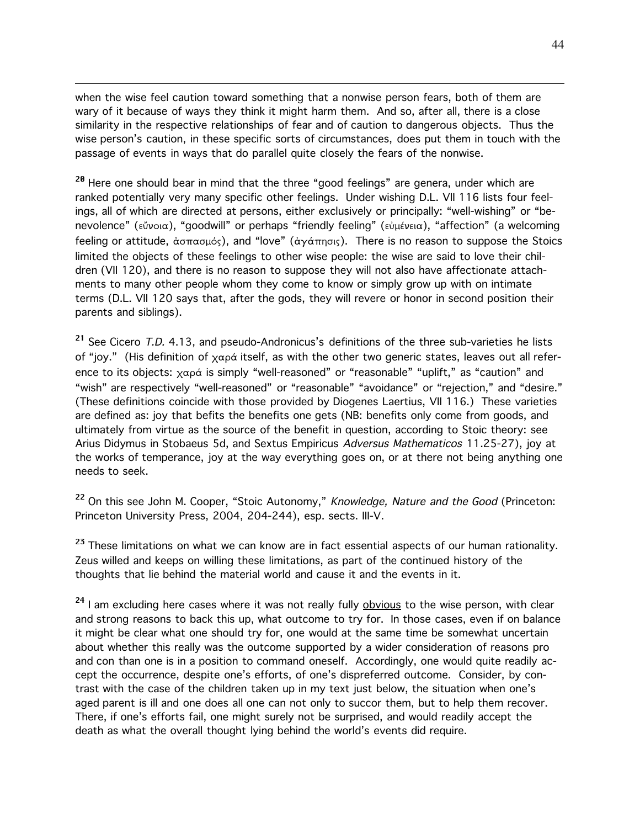when the wise feel caution toward something that a nonwise person fears, both of them are wary of it because of ways they think it might harm them. And so, after all, there is a close similarity in the respective relationships of fear and of caution to dangerous objects. Thus the wise person's caution, in these specific sorts of circumstances, does put them in touch with the passage of events in ways that do parallel quite closely the fears of the nonwise.

 $\overline{a}$ 

<sup>20</sup> Here one should bear in mind that the three "good feelings" are genera, under which are ranked potentially very many specific other feelings. Under wishing D.L. VII 116 lists four feelings, all of which are directed at persons, either exclusively or principally: "well-wishing" or "benevolence" (εὔνοια), "goodwill" or perhaps "friendly feeling" (εὐμένεια), "affection" (a welcoming feeling or attitude,  $\dot{\alpha}$   $\sigma \pi \alpha \sigma \mu \delta s$ ), and "love" ( $\dot{\alpha} \gamma \dot{\alpha} \pi \eta \sigma s$ ). There is no reason to suppose the Stoics limited the objects of these feelings to other wise people: the wise are said to love their children (VII 120), and there is no reason to suppose they will not also have affectionate attachments to many other people whom they come to know or simply grow up with on intimate terms (D.L. VII 120 says that, after the gods, they will revere or honor in second position their parents and siblings).

<sup>21</sup> See Cicero T.D. 4.13, and pseudo-Andronicus's definitions of the three sub-varieties he lists of "joy." (His definition of  $\chi\alpha\rho\alpha$  itself, as with the other two generic states, leaves out all reference to its objects:  $\chi \alpha \rho \dot{\alpha}$  is simply "well-reasoned" or "reasonable" "uplift," as "caution" and "wish" are respectively "well-reasoned" or "reasonable" "avoidance" or "rejection," and "desire." (These definitions coincide with those provided by Diogenes Laertius, VII 116.) These varieties are defined as: joy that befits the benefits one gets (NB: benefits only come from goods, and ultimately from virtue as the source of the benefit in question, according to Stoic theory: see Arius Didymus in Stobaeus 5d, and Sextus Empiricus Adversus Mathematicos 11.25-27), joy at the works of temperance, joy at the way everything goes on, or at there not being anything one needs to seek.

<sup>22</sup> On this see John M. Cooper, "Stoic Autonomy," Knowledge, Nature and the Good (Princeton: Princeton University Press, 2004, 204-244), esp. sects. III-V.

<sup>23</sup> These limitations on what we can know are in fact essential aspects of our human rationality. Zeus willed and keeps on willing these limitations, as part of the continued history of the thoughts that lie behind the material world and cause it and the events in it.

<sup>24</sup> I am excluding here cases where it was not really fully <u>obvious</u> to the wise person, with clear and strong reasons to back this up, what outcome to try for. In those cases, even if on balance it might be clear what one should try for, one would at the same time be somewhat uncertain about whether this really was the outcome supported by a wider consideration of reasons pro and con than one is in a position to command oneself. Accordingly, one would quite readily accept the occurrence, despite one's efforts, of one's dispreferred outcome. Consider, by contrast with the case of the children taken up in my text just below, the situation when one's aged parent is ill and one does all one can not only to succor them, but to help them recover. There, if one's efforts fail, one might surely not be surprised, and would readily accept the death as what the overall thought lying behind the world's events did require.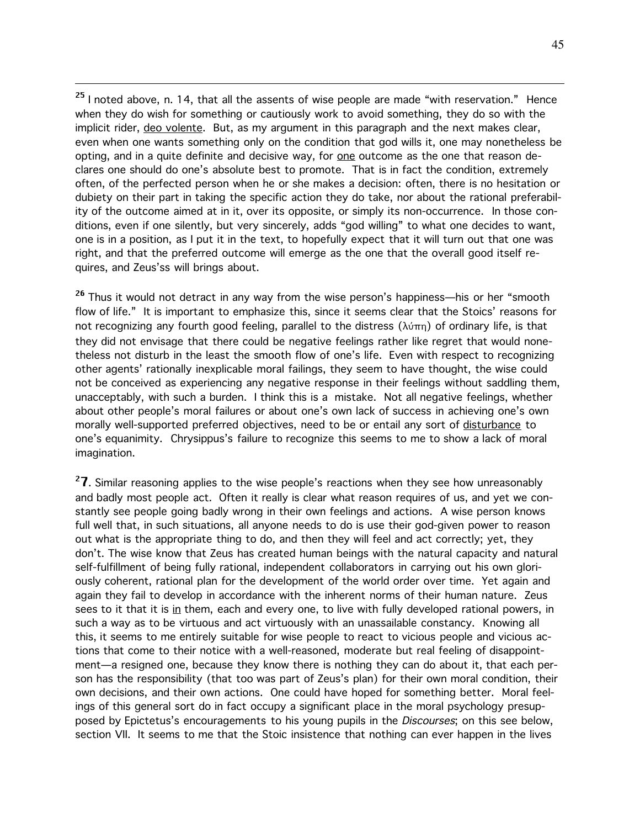<sup>25</sup> I noted above, n. 14, that all the assents of wise people are made "with reservation." Hence when they do wish for something or cautiously work to avoid something, they do so with the implicit rider, deo volente. But, as my argument in this paragraph and the next makes clear, even when one wants something only on the condition that god wills it, one may nonetheless be opting, and in a quite definite and decisive way, for one outcome as the one that reason declares one should do one's absolute best to promote. That is in fact the condition, extremely often, of the perfected person when he or she makes a decision: often, there is no hesitation or dubiety on their part in taking the specific action they do take, nor about the rational preferability of the outcome aimed at in it, over its opposite, or simply its non-occurrence. In those conditions, even if one silently, but very sincerely, adds "god willing" to what one decides to want, one is in a position, as I put it in the text, to hopefully expect that it will turn out that one was right, and that the preferred outcome will emerge as the one that the overall good itself requires, and Zeus'ss will brings about.

 $\overline{a}$ 

<sup>26</sup> Thus it would not detract in any way from the wise person's happiness—his or her "smooth flow of life." It is important to emphasize this, since it seems clear that the Stoics' reasons for not recognizing any fourth good feeling, parallel to the distress  $(\lambda\dot{\varphi}\pi\eta)$  of ordinary life, is that they did not envisage that there could be negative feelings rather like regret that would nonetheless not disturb in the least the smooth flow of one's life. Even with respect to recognizing other agents' rationally inexplicable moral failings, they seem to have thought, the wise could not be conceived as experiencing any negative response in their feelings without saddling them, unacceptably, with such a burden. I think this is a mistake. Not all negative feelings, whether about other people's moral failures or about one's own lack of success in achieving one's own morally well-supported preferred objectives, need to be or entail any sort of disturbance to one's equanimity. Chrysippus's failure to recognize this seems to me to show a lack of moral imagination.

 $^{2}$ 7. Similar reasoning applies to the wise people's reactions when they see how unreasonably and badly most people act. Often it really is clear what reason requires of us, and yet we constantly see people going badly wrong in their own feelings and actions. A wise person knows full well that, in such situations, all anyone needs to do is use their god-given power to reason out what is the appropriate thing to do, and then they will feel and act correctly; yet, they don't. The wise know that Zeus has created human beings with the natural capacity and natural self-fulfillment of being fully rational, independent collaborators in carrying out his own gloriously coherent, rational plan for the development of the world order over time. Yet again and again they fail to develop in accordance with the inherent norms of their human nature. Zeus sees to it that it is in them, each and every one, to live with fully developed rational powers, in such a way as to be virtuous and act virtuously with an unassailable constancy. Knowing all this, it seems to me entirely suitable for wise people to react to vicious people and vicious actions that come to their notice with a well-reasoned, moderate but real feeling of disappointment—a resigned one, because they know there is nothing they can do about it, that each person has the responsibility (that too was part of Zeus's plan) for their own moral condition, their own decisions, and their own actions. One could have hoped for something better. Moral feelings of this general sort do in fact occupy a significant place in the moral psychology presupposed by Epictetus's encouragements to his young pupils in the *Discourses*; on this see below, section VII. It seems to me that the Stoic insistence that nothing can ever happen in the lives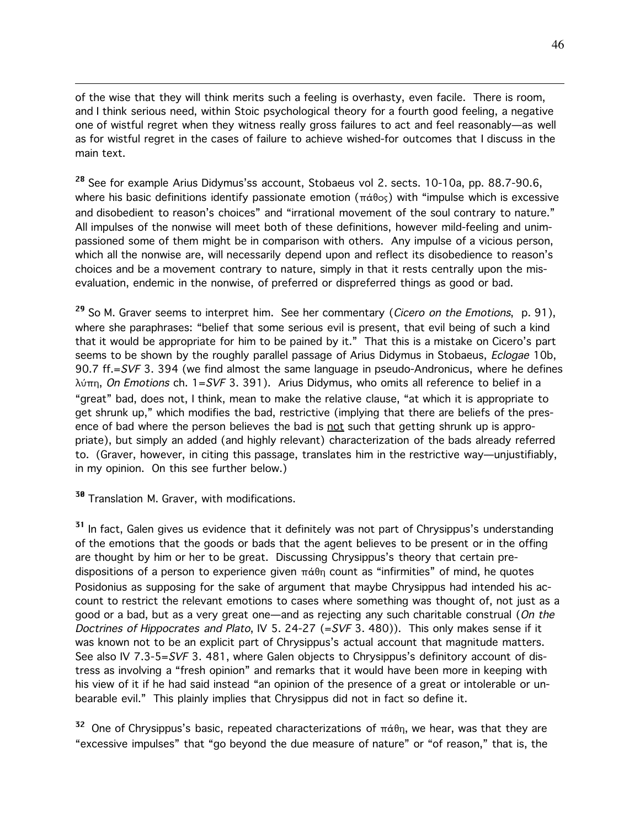of the wise that they will think merits such a feeling is overhasty, even facile. There is room, and I think serious need, within Stoic psychological theory for a fourth good feeling, a negative one of wistful regret when they witness really gross failures to act and feel reasonably—as well as for wistful regret in the cases of failure to achieve wished-for outcomes that I discuss in the main text.

<sup>28</sup> See for example Arius Didymus'ss account, Stobaeus vol 2. sects. 10-10a, pp. 88.7-90.6, where his basic definitions identify passionate emotion ( $\pi \dot{\alpha} \theta$ os) with "impulse which is excessive and disobedient to reason's choices" and "irrational movement of the soul contrary to nature." All impulses of the nonwise will meet both of these definitions, however mild-feeling and unimpassioned some of them might be in comparison with others. Any impulse of a vicious person, which all the nonwise are, will necessarily depend upon and reflect its disobedience to reason's choices and be a movement contrary to nature, simply in that it rests centrally upon the misevaluation, endemic in the nonwise, of preferred or dispreferred things as good or bad.

<sup>29</sup> So M. Graver seems to interpret him. See her commentary (*Cicero on the Emotions*, p. 91), where she paraphrases: "belief that some serious evil is present, that evil being of such a kind that it would be appropriate for him to be pained by it." That this is a mistake on Cicero's part seems to be shown by the roughly parallel passage of Arius Didymus in Stobaeus, *Eclogae* 10b, 90.7 ff.=SVF 3. 394 (we find almost the same language in pseudo-Andronicus, where he defines  $\lambda$ ú $\pi$ n, On Emotions ch. 1=SVF 3. 391). Arius Didymus, who omits all reference to belief in a "great" bad, does not, I think, mean to make the relative clause, "at which it is appropriate to get shrunk up," which modifies the bad, restrictive (implying that there are beliefs of the presence of bad where the person believes the bad is not such that getting shrunk up is appropriate), but simply an added (and highly relevant) characterization of the bads already referred to. (Graver, however, in citing this passage, translates him in the restrictive way—unjustifiably, in my opinion. On this see further below.)

<sup>30</sup> Translation M. Graver, with modifications.

 $\overline{a}$ 

<sup>31</sup> In fact, Galen gives us evidence that it definitely was not part of Chrysippus's understanding of the emotions that the goods or bads that the agent believes to be present or in the offing are thought by him or her to be great. Discussing Chrysippus's theory that certain predispositions of a person to experience given  $\pi\dot{\alpha}\theta$  count as "infirmities" of mind, he quotes Posidonius as supposing for the sake of argument that maybe Chrysippus had intended his account to restrict the relevant emotions to cases where something was thought of, not just as a good or a bad, but as a very great one—and as rejecting any such charitable construal (On the Doctrines of Hippocrates and Plato, IV 5. 24-27 (=SVF 3. 480)). This only makes sense if it was known not to be an explicit part of Chrysippus's actual account that magnitude matters. See also IV 7.3-5=SVF 3. 481, where Galen objects to Chrysippus's definitory account of distress as involving a "fresh opinion" and remarks that it would have been more in keeping with his view of it if he had said instead "an opinion of the presence of a great or intolerable or unbearable evil." This plainly implies that Chrysippus did not in fact so define it.

 $^{32}$  One of Chrysippus's basic, repeated characterizations of  $\pi$ á $\theta$ η, we hear, was that they are "excessive impulses" that "go beyond the due measure of nature" or "of reason," that is, the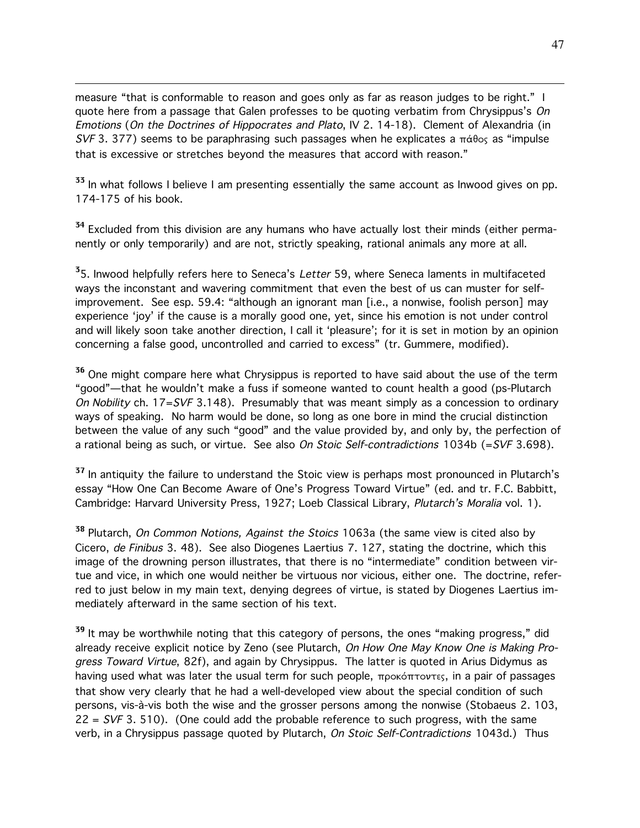measure "that is conformable to reason and goes only as far as reason judges to be right." I quote here from a passage that Galen professes to be quoting verbatim from Chrysippus's On Emotions (On the Doctrines of Hippocrates and Plato, IV 2. 14-18). Clement of Alexandria (in SVF 3. 377) seems to be paraphrasing such passages when he explicates a  $\pi \acute{\alpha} \theta$ os as "impulse that is excessive or stretches beyond the measures that accord with reason."

 $\overline{a}$ 

<sup>33</sup> In what follows I believe I am presenting essentially the same account as Inwood gives on pp. 174-175 of his book.

<sup>34</sup> Excluded from this division are any humans who have actually lost their minds (either permanently or only temporarily) and are not, strictly speaking, rational animals any more at all.

<sup>3</sup>5. Inwood helpfully refers here to Seneca's *Letter* 59, where Seneca laments in multifaceted ways the inconstant and wavering commitment that even the best of us can muster for selfimprovement. See esp. 59.4: "although an ignorant man [i.e., a nonwise, foolish person] may experience 'joy' if the cause is a morally good one, yet, since his emotion is not under control and will likely soon take another direction, I call it 'pleasure'; for it is set in motion by an opinion concerning a false good, uncontrolled and carried to excess" (tr. Gummere, modified).

<sup>36</sup> One might compare here what Chrysippus is reported to have said about the use of the term "good"—that he wouldn't make a fuss if someone wanted to count health a good (ps-Plutarch On Nobility ch. 17=SVF 3.148). Presumably that was meant simply as a concession to ordinary ways of speaking. No harm would be done, so long as one bore in mind the crucial distinction between the value of any such "good" and the value provided by, and only by, the perfection of a rational being as such, or virtue. See also On Stoic Self-contradictions  $1034b$  (=SVF 3.698).

<sup>37</sup> In antiquity the failure to understand the Stoic view is perhaps most pronounced in Plutarch's essay "How One Can Become Aware of One's Progress Toward Virtue" (ed. and tr. F.C. Babbitt, Cambridge: Harvard University Press, 1927; Loeb Classical Library, Plutarch's Moralia vol. 1).

<sup>38</sup> Plutarch, *On Common Notions, Against the Stoics* 1063a (the same view is cited also by Cicero, de Finibus 3. 48). See also Diogenes Laertius 7. 127, stating the doctrine, which this image of the drowning person illustrates, that there is no "intermediate" condition between virtue and vice, in which one would neither be virtuous nor vicious, either one. The doctrine, referred to just below in my main text, denying degrees of virtue, is stated by Diogenes Laertius immediately afterward in the same section of his text.

<sup>39</sup> It may be worthwhile noting that this category of persons, the ones "making progress," did already receive explicit notice by Zeno (see Plutarch, On How One May Know One is Making Progress Toward Virtue, 82f), and again by Chrysippus. The latter is quoted in Arius Didymus as having used what was later the usual term for such people,  $\pi\rho$ okÓ $\pi\tau$ ovtes, in a pair of passages that show very clearly that he had a well-developed view about the special condition of such persons, vis-à-vis both the wise and the grosser persons among the nonwise (Stobaeus 2. 103,  $22 = SVF$  3. 510). (One could add the probable reference to such progress, with the same verb, in a Chrysippus passage quoted by Plutarch, On Stoic Self-Contradictions 1043d.) Thus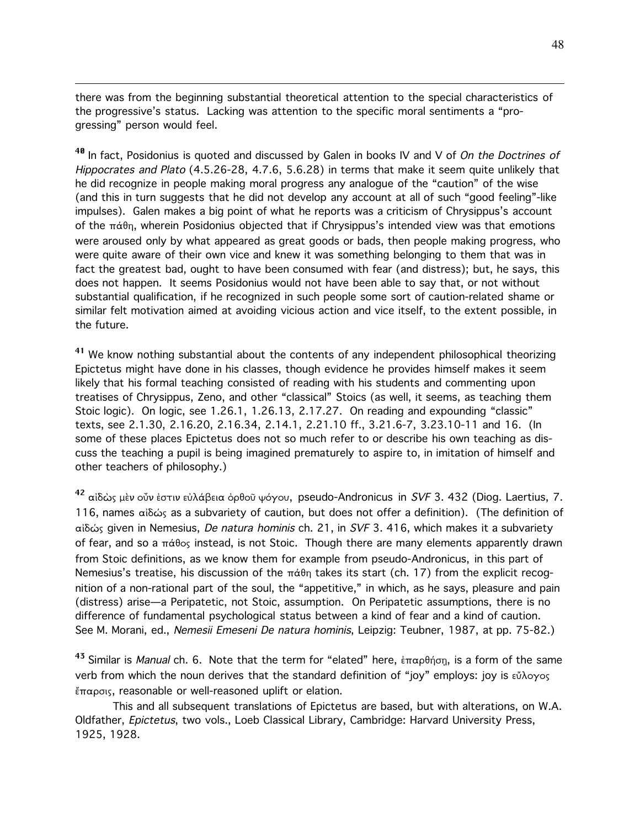there was from the beginning substantial theoretical attention to the special characteristics of the progressive's status. Lacking was attention to the specific moral sentiments a "progressing" person would feel.

 $\overline{a}$ 

<sup>40</sup> In fact, Posidonius is quoted and discussed by Galen in books IV and V of *On the Doctrines of* Hippocrates and Plato (4.5.26-28, 4.7.6, 5.6.28) in terms that make it seem quite unlikely that he did recognize in people making moral progress any analogue of the "caution" of the wise (and this in turn suggests that he did not develop any account at all of such "good feeling"-like impulses). Galen makes a big point of what he reports was a criticism of Chrysippus's account of the  $\pi\acute{\alpha}$  $\theta$ <sub>n</sub>, wherein Posidonius objected that if Chrysippus's intended view was that emotions were aroused only by what appeared as great goods or bads, then people making progress, who were quite aware of their own vice and knew it was something belonging to them that was in fact the greatest bad, ought to have been consumed with fear (and distress); but, he says, this does not happen. It seems Posidonius would not have been able to say that, or not without substantial qualification, if he recognized in such people some sort of caution-related shame or similar felt motivation aimed at avoiding vicious action and vice itself, to the extent possible, in the future.

<sup>41</sup> We know nothing substantial about the contents of any independent philosophical theorizing Epictetus might have done in his classes, though evidence he provides himself makes it seem likely that his formal teaching consisted of reading with his students and commenting upon treatises of Chrysippus, Zeno, and other "classical" Stoics (as well, it seems, as teaching them Stoic logic). On logic, see 1.26.1, 1.26.13, 2.17.27. On reading and expounding "classic" texts, see 2.1.30, 2.16.20, 2.16.34, 2.14.1, 2.21.10 ff., 3.21.6-7, 3.23.10-11 and 16. (In some of these places Epictetus does not so much refer to or describe his own teaching as discuss the teaching a pupil is being imagined prematurely to aspire to, in imitation of himself and other teachers of philosophy.)

<sup>42</sup> αἰδὼς μὲν οὖν ἐστιν εὐλάβεια ὀρθοῦ ψόγου, pseudo-Andronicus in *SVF* 3. 432 (Diog. Laertius, 7. 116, names αίδώς as a subvariety of caution, but does not offer a definition). (The definition of afid≈w given in Nemesius, De natura hominis ch. 21, in SVF 3. 416, which makes it a subvariety of fear, and so a  $\pi\acute{\alpha}$ θos instead, is not Stoic. Though there are many elements apparently drawn from Stoic definitions, as we know them for example from pseudo-Andronicus, in this part of Nemesius's treatise, his discussion of the  $\pi \dot{\alpha} \theta$  takes its start (ch. 17) from the explicit recognition of a non-rational part of the soul, the "appetitive," in which, as he says, pleasure and pain (distress) arise—a Peripatetic, not Stoic, assumption. On Peripatetic assumptions, there is no difference of fundamental psychological status between a kind of fear and a kind of caution. See M. Morani, ed., Nemesii Emeseni De natura hominis, Leipzig: Teubner, 1987, at pp. 75-82.)

 $^{43}$  Similar is *Manual* ch. 6. Note that the term for "elated" here, ἐπαρθήση, is a form of the same verb from which the noun derives that the standard definition of "joy" employs: joy is  $\epsilon \check{v} \lambda \circ \gamma \circ \zeta$  $\epsilon$ παρσις, reasonable or well-reasoned uplift or elation.

This and all subsequent translations of Epictetus are based, but with alterations, on W.A. Oldfather, Epictetus, two vols., Loeb Classical Library, Cambridge: Harvard University Press, 1925, 1928.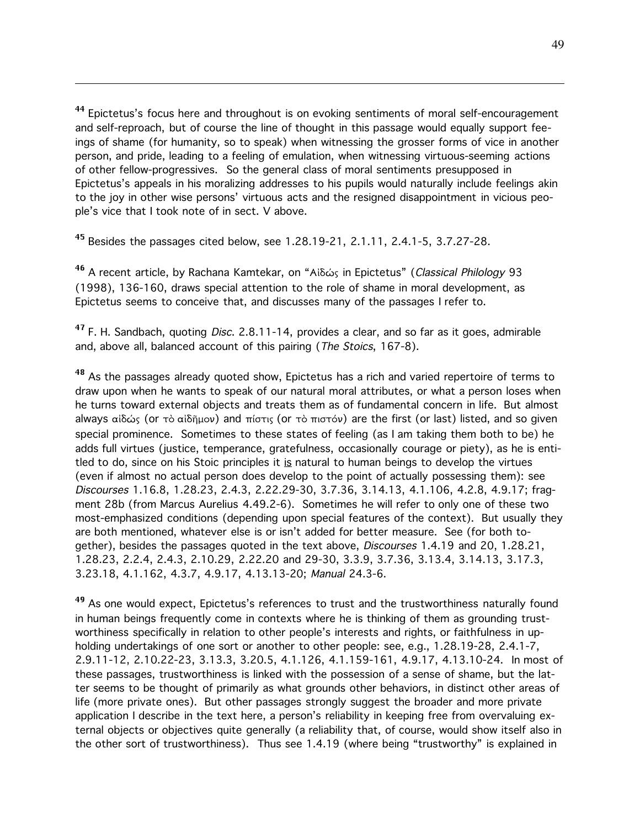<sup>44</sup> Epictetus's focus here and throughout is on evoking sentiments of moral self-encouragement and self-reproach, but of course the line of thought in this passage would equally support feeings of shame (for humanity, so to speak) when witnessing the grosser forms of vice in another person, and pride, leading to a feeling of emulation, when witnessing virtuous-seeming actions of other fellow-progressives. So the general class of moral sentiments presupposed in Epictetus's appeals in his moralizing addresses to his pupils would naturally include feelings akin to the joy in other wise persons' virtuous acts and the resigned disappointment in vicious people's vice that I took note of in sect. V above.

<sup>45</sup> Besides the passages cited below, see 1.28.19-21, 2.1.11, 2.4.1-5, 3.7.27-28.

 $\overline{a}$ 

46 A recent article, by Rachana Kamtekar, on "Afid≈w in Epictetus" (Classical Philology 93 (1998), 136-160, draws special attention to the role of shame in moral development, as Epictetus seems to conceive that, and discusses many of the passages I refer to.

<sup>47</sup> F. H. Sandbach, quoting *Disc*. 2.8.11-14, provides a clear, and so far as it goes, admirable and, above all, balanced account of this pairing (The Stoics, 167-8).

<sup>48</sup> As the passages already quoted show, Epictetus has a rich and varied repertoire of terms to draw upon when he wants to speak of our natural moral attributes, or what a person loses when he turns toward external objects and treats them as of fundamental concern in life. But almost always αίδώς (or τὸ αίδῆμον) and πίστις (or τὸ πιστόν) are the first (or last) listed, and so given special prominence. Sometimes to these states of feeling (as I am taking them both to be) he adds full virtues (justice, temperance, gratefulness, occasionally courage or piety), as he is entitled to do, since on his Stoic principles it is natural to human beings to develop the virtues (even if almost no actual person does develop to the point of actually possessing them): see Discourses 1.16.8, 1.28.23, 2.4.3, 2.22.29-30, 3.7.36, 3.14.13, 4.1.106, 4.2.8, 4.9.17; fragment 28b (from Marcus Aurelius 4.49.2-6). Sometimes he will refer to only one of these two most-emphasized conditions (depending upon special features of the context). But usually they are both mentioned, whatever else is or isn't added for better measure. See (for both together), besides the passages quoted in the text above, Discourses 1.4.19 and 20, 1.28.21, 1.28.23, 2.2.4, 2.4.3, 2.10.29, 2.22.20 and 29-30, 3.3.9, 3.7.36, 3.13.4, 3.14.13, 3.17.3, 3.23.18, 4.1.162, 4.3.7, 4.9.17, 4.13.13-20; Manual 24.3-6.

<sup>49</sup> As one would expect, Epictetus's references to trust and the trustworthiness naturally found in human beings frequently come in contexts where he is thinking of them as grounding trustworthiness specifically in relation to other people's interests and rights, or faithfulness in upholding undertakings of one sort or another to other people: see, e.g., 1.28.19-28, 2.4.1-7, 2.9.11-12, 2.10.22-23, 3.13.3, 3.20.5, 4.1.126, 4.1.159-161, 4.9.17, 4.13.10-24. In most of these passages, trustworthiness is linked with the possession of a sense of shame, but the latter seems to be thought of primarily as what grounds other behaviors, in distinct other areas of life (more private ones). But other passages strongly suggest the broader and more private application I describe in the text here, a person's reliability in keeping free from overvaluing external objects or objectives quite generally (a reliability that, of course, would show itself also in the other sort of trustworthiness). Thus see 1.4.19 (where being "trustworthy" is explained in